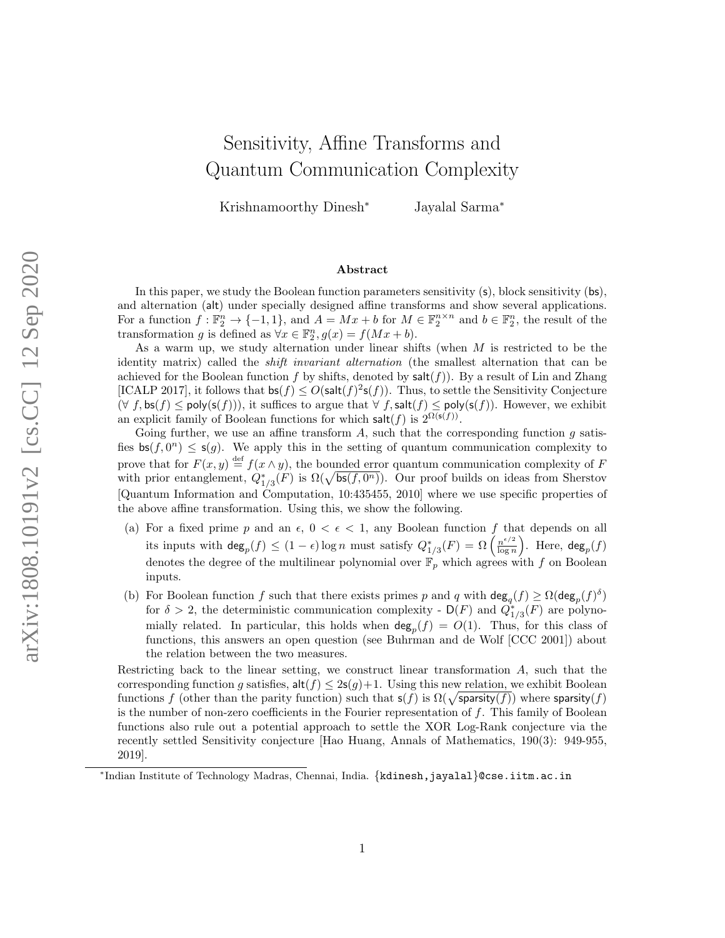# Sensitivity, Affine Transforms and Quantum Communication Complexity

Krishnamoorthy Dinesh<sup>∗</sup> Jayalal Sarma<sup>∗</sup>

#### Abstract

In this paper, we study the Boolean function parameters sensitivity (s), block sensitivity (bs), and alternation (alt) under specially designed affine transforms and show several applications. For a function  $f: \mathbb{F}_2^n \to \{-1,1\}$ , and  $A = Mx + b$  for  $M \in \mathbb{F}_2^{n \times n}$  and  $b \in \mathbb{F}_2^n$ , the result of the transformation g is defined as  $\forall x \in \mathbb{F}_2^n$ ,  $g(x) = f(Mx + b)$ .

As a warm up, we study alternation under linear shifts (when  $M$  is restricted to be the identity matrix) called the shift invariant alternation (the smallest alternation that can be achieved for the Boolean function f by shifts, denoted by  $\text{salt}(f)$ ). By a result of Lin and Zhang [ICALP 2017], it follows that  $\mathsf{bs}(f) \le O(\mathsf{salt}(f)^2 \mathsf{s}(f))$ . Thus, to settle the Sensitivity Conjecture  $(\forall f, \mathsf{bs}(f) \le \mathsf{poly}(\mathsf{s}(f))),$  it suffices to argue that  $\forall f, \mathsf{salt}(f) \le \mathsf{poly}(\mathsf{s}(f)).$  However, we exhibit an explicit family of Boolean functions for which salt $(f)$  is  $2^{\Omega(s(f))}$ .

Going further, we use an affine transform  $A$ , such that the corresponding function  $g$  satisfies  $\mathsf{bs}(f, 0^n) \leq \mathsf{s}(g)$ . We apply this in the setting of quantum communication complexity to prove that for  $F(x, y) \stackrel{\text{def}}{=} f(x \wedge y)$ , the bounded error quantum communication complexity of F with prior entanglement,  $Q_{1/3}^*(F)$  is  $\Omega(\sqrt{\mathsf{bs}(f, 0^n)})$ . Our proof builds on ideas from Sherstov [Quantum Information and Computation, 10:435455, 2010] where we use specific properties of the above affine transformation. Using this, we show the following.

- (a) For a fixed prime p and an  $\epsilon$ ,  $0 < \epsilon < 1$ , any Boolean function f that depends on all its inputs with  $\deg_p(f) \leq (1 - \epsilon) \log n$  must satisfy  $Q_{1/3}^*(F) = \Omega \left( \frac{n^{\epsilon/2}}{\log n} \right)$  $\frac{n^{\epsilon/2}}{\log n}$ ). Here,  $\deg_p(f)$ denotes the degree of the multilinear polynomial over  $\mathbb{F}_p$  which agrees with f on Boolean inputs.
- (b) For Boolean function f such that there exists primes p and q with  $deg_q(f) \ge \Omega(deg_p(f)^{\delta})$ for  $\delta > 2$ , the deterministic communication complexity -  $\mathsf{D}(F)$  and  $Q_{1/3}^*(F)$  are polynomially related. In particular, this holds when  $\deg_p(f) = O(1)$ . Thus, for this class of functions, this answers an open question (see Buhrman and de Wolf [CCC 2001]) about the relation between the two measures.

Restricting back to the linear setting, we construct linear transformation A, such that the corresponding function g satisfies,  $\mathsf{alt}(f) \leq 2\mathsf{s}(g) + 1$ . Using this new relation, we exhibit Boolean functions f (other than the parity function) such that  $s(f)$  is  $\Omega(\sqrt{\text{sparsity}(f)})$  where sparsity(f) is the number of non-zero coefficients in the Fourier representation of  $f$ . This family of Boolean functions also rule out a potential approach to settle the XOR Log-Rank conjecture via the recently settled Sensitivity conjecture [Hao Huang, Annals of Mathematics, 190(3): 949-955, 2019].

<sup>∗</sup> Indian Institute of Technology Madras, Chennai, India. {kdinesh,jayalal}@cse.iitm.ac.in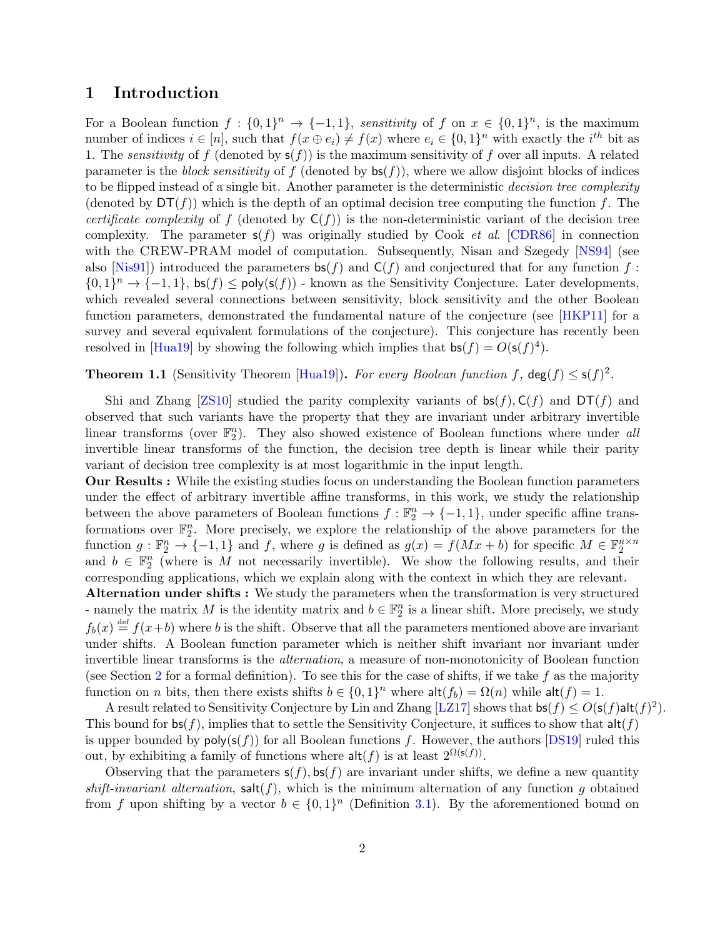#### 1 Introduction

For a Boolean function  $f: \{0,1\}^n \to \{-1,1\}$ , sensitivity of f on  $x \in \{0,1\}^n$ , is the maximum number of indices  $i \in [n]$ , such that  $f(x \oplus e_i) \neq f(x)$  where  $e_i \in \{0,1\}^n$  with exactly the  $i^{th}$  bit as 1. The *sensitivity* of f (denoted by  $s(f)$ ) is the maximum sensitivity of f over all inputs. A related parameter is the block sensitivity of f (denoted by  $\mathsf{bs}(f)$ ), where we allow disjoint blocks of indices to be flipped instead of a single bit. Another parameter is the deterministic decision tree complexity (denoted by  $DT(f)$ ) which is the depth of an optimal decision tree computing the function f. The certificate complexity of f (denoted by  $C(f)$ ) is the non-deterministic variant of the decision tree complexity. The parameter  $s(f)$  was originally studied by Cook *et al.* [CDR86] in connection with the CREW-PRAM model of computation. Subsequently, Nisan and Szegedy [NS94] (see also [Nis91]) introduced the parameters  $\mathsf{bs}(f)$  and  $\mathsf{C}(f)$  and conjectured that for any function f:  $\{0,1\}^n \to \{-1,1\}$ ,  $\mathsf{bs}(f) \le \mathsf{poly}(\mathsf{s}(f))$  - known as the Sensitivity Conjecture. Later developments, which revealed several connections between sensitivity, block sensitivity and the other Boolean function parameters, demonstrated the fundamental nature of the conjecture (see [HKP11] for a survey and several equivalent formulations of the conjecture). This conjecture has recently been resolved in [Hua19] by showing the following which implies that  $\mathsf{bs}(f) = O(\mathsf{s}(f)^4)$ .

**Theorem 1.1** (Sensitivity Theorem [Hua19]). For every Boolean function f,  $deg(f) \leq s(f)^2$ .

Shi and Zhang [ZS10] studied the parity complexity variants of  $bs(f), C(f)$  and  $DT(f)$  and observed that such variants have the property that they are invariant under arbitrary invertible linear transforms (over  $\mathbb{F}_2^n$ ). They also showed existence of Boolean functions where under all invertible linear transforms of the function, the decision tree depth is linear while their parity variant of decision tree complexity is at most logarithmic in the input length.

Our Results : While the existing studies focus on understanding the Boolean function parameters under the effect of arbitrary invertible affine transforms, in this work, we study the relationship between the above parameters of Boolean functions  $f : \mathbb{F}_2^n \to \{-1,1\}$ , under specific affine transformations over  $\mathbb{F}_2^n$ . More precisely, we explore the relationship of the above parameters for the function  $g: \mathbb{F}_2^n \to \{-1,1\}$  and  $f$ , where  $g$  is defined as  $g(x) = f(Mx + b)$  for specific  $M \in \mathbb{F}_2^{n \times n}$ <br>and  $b \in \mathbb{F}_2^n$  (where is  $M$  not necessarily invertible). We show the following results, and their corresponding applications, which we explain along with the context in which they are relevant.

Alternation under shifts : We study the parameters when the transformation is very structured - namely the matrix M is the identity matrix and  $b \in \mathbb{F}_2^n$  is a linear shift. More precisely, we study  $f_b(x) \stackrel{\text{def}}{=} f(x+b)$  where b is the shift. Observe that all the parameters mentioned above are invariant under shifts. A Boolean function parameter which is neither shift invariant nor invariant under invertible linear transforms is the alternation, a measure of non-monotonicity of Boolean function (see Section 2 for a formal definition). To see this for the case of shifts, if we take f as the majority function on *n* bits, then there exists shifts  $b \in \{0,1\}^n$  where  $\mathsf{alt}(f_b) = \Omega(n)$  while  $\mathsf{alt}(f) = 1$ .

A result related to Sensitivity Conjecture by Lin and Zhang [LZ17] shows that  $\mathsf{bs}(f) \le O(\mathsf{s}(f) \mathsf{alt}(f)^2)$ . This bound for  $\mathsf{bs}(f)$ , implies that to settle the Sensitivity Conjecture, it suffices to show that  $\mathsf{alt}(f)$ is upper bounded by  $poly(s(f))$  for all Boolean functions f. However, the authors [DS19] ruled this out, by exhibiting a family of functions where  $\mathsf{alt}(f)$  is at least  $2^{\Omega(\mathsf{s}(f))}$ .

Observing that the parameters  $s(f)$ ,  $bs(f)$  are invariant under shifts, we define a new quantity shift-invariant alternation,  $\text{salt}(f)$ , which is the minimum alternation of any function g obtained from f upon shifting by a vector  $b \in \{0,1\}^n$  (Definition 3.1). By the aforementioned bound on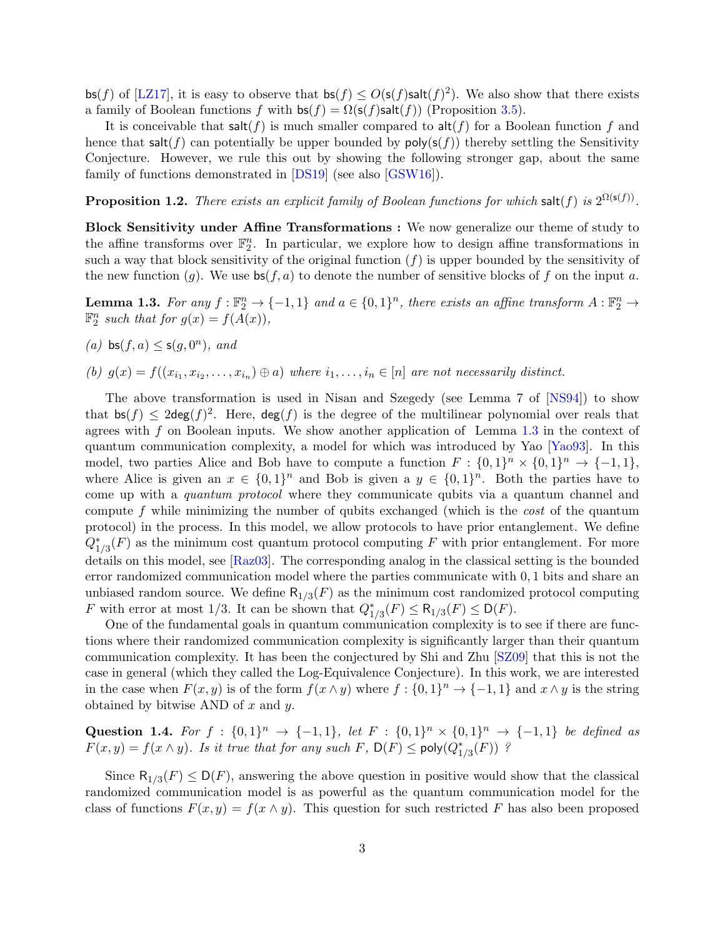bs(f) of [LZ17], it is easy to observe that  $bs(f) \leq O(s(f)_{sat}(f)^{2})$ . We also show that there exists a family of Boolean functions f with  $\mathsf{bs}(f) = \Omega(\mathsf{s}(f)\mathsf{salt}(f))$  (Proposition 3.5).

It is conceivable that  $\mathsf{salt}(f)$  is much smaller compared to  $\mathsf{alt}(f)$  for a Boolean function f and hence that salt(f) can potentially be upper bounded by  $poly(s(f))$  thereby settling the Sensitivity Conjecture. However, we rule this out by showing the following stronger gap, about the same family of functions demonstrated in [DS19] (see also [GSW16]).

**Proposition 1.2.** There exists an explicit family of Boolean functions for which salt(f) is  $2^{\Omega(s(f))}$ .

Block Sensitivity under Affine Transformations : We now generalize our theme of study to the affine transforms over  $\mathbb{F}_2^n$ . In particular, we explore how to design affine transformations in such a way that block sensitivity of the original function  $(f)$  is upper bounded by the sensitivity of the new function (g). We use  $bs(f, a)$  to denote the number of sensitive blocks of f on the input a.

**Lemma 1.3.** For any  $f : \mathbb{F}_2^n \to \{-1,1\}$  and  $a \in \{0,1\}^n$ , there exists an affine transform  $A : \mathbb{F}_2^n \to$  $\mathbb{F}_2^n$  such that for  $g(x) = f(A(x)),$ 

(a)  $\mathsf{bs}(f,a) \leq \mathsf{s}(g,0^n)$ , and

(b)  $g(x) = f((x_{i_1}, x_{i_2}, \ldots, x_{i_n}) \oplus a)$  where  $i_1, \ldots, i_n \in [n]$  are not necessarily distinct.

The above transformation is used in Nisan and Szegedy (see Lemma 7 of [NS94]) to show that  $\mathsf{bs}(f) \leq 2\mathsf{deg}(f)^2$ . Here,  $\mathsf{deg}(f)$  is the degree of the multilinear polynomial over reals that agrees with  $f$  on Boolean inputs. We show another application of Lemma  $1.3$  in the context of quantum communication complexity, a model for which was introduced by Yao [Yao93]. In this model, two parties Alice and Bob have to compute a function  $F: \{0,1\}^n \times \{0,1\}^n \to \{-1,1\},\$ where Alice is given an  $x \in \{0,1\}^n$  and Bob is given a  $y \in \{0,1\}^n$ . Both the parties have to come up with a quantum protocol where they communicate qubits via a quantum channel and compute f while minimizing the number of qubits exchanged (which is the *cost* of the quantum protocol) in the process. In this model, we allow protocols to have prior entanglement. We define  $Q_{1/3}^*(F)$  as the minimum cost quantum protocol computing F with prior entanglement. For more details on this model, see [Raz03]. The corresponding analog in the classical setting is the bounded error randomized communication model where the parties communicate with 0, 1 bits and share an unbiased random source. We define  $R_{1/3}(F)$  as the minimum cost randomized protocol computing F with error at most 1/3. It can be shown that  $Q_{1/3}^*(F) \leq R_{1/3}(F) \leq D(F)$ .

One of the fundamental goals in quantum communication complexity is to see if there are functions where their randomized communication complexity is significantly larger than their quantum communication complexity. It has been the conjectured by Shi and Zhu [SZ09] that this is not the case in general (which they called the Log-Equivalence Conjecture). In this work, we are interested in the case when  $F(x, y)$  is of the form  $f(x \wedge y)$  where  $f: \{0, 1\}^n \to \{-1, 1\}$  and  $x \wedge y$  is the string obtained by bitwise AND of  $x$  and  $y$ .

Question 1.4. For  $f : \{0,1\}^n \to \{-1,1\}$ , let  $F : \{0,1\}^n \times \{0,1\}^n \to \{-1,1\}$  be defined as  $F(x,y) = f(x \wedge y)$ . Is it true that for any such F,  $D(F) \le \text{poly}(Q_{1/3}^*(F))$ ?

Since  $\mathsf{R}_{1/3}(F) \le \mathsf{D}(F)$ , answering the above question in positive would show that the classical randomized communication model is as powerful as the quantum communication model for the class of functions  $F(x, y) = f(x \wedge y)$ . This question for such restricted F has also been proposed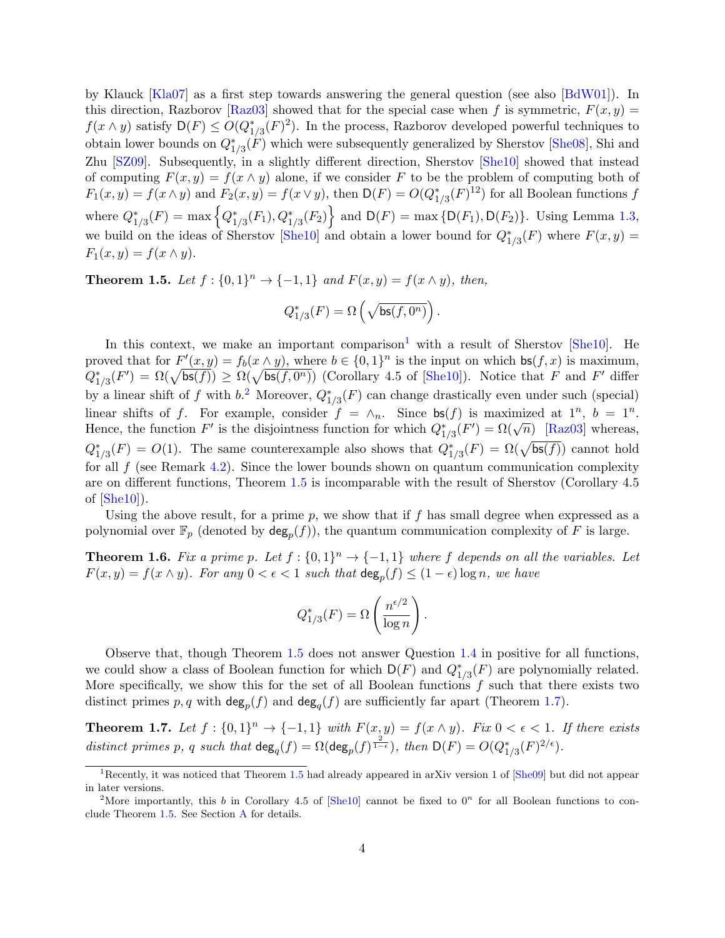by Klauck [Kla07] as a first step towards answering the general question (see also [BdW01]). In this direction, Razborov [Raz03] showed that for the special case when f is symmetric,  $F(x, y) =$  $f(x \wedge y)$  satisfy  $\mathsf{D}(F) \leq O(Q_{1/3}^*(F)^2)$ . In the process, Razborov developed powerful techniques to obtain lower bounds on  $Q_{1/3}^*(F)$  which were subsequently generalized by Sherstov [She08], Shi and Zhu [SZ09]. Subsequently, in a slightly different direction, Sherstov [She10] showed that instead of computing  $F(x, y) = f(x \wedge y)$  alone, if we consider F to be the problem of computing both of  $F_1(x,y) = f(x \wedge y)$  and  $F_2(x,y) = f(x \vee y)$ , then  $\mathsf{D}(F) = O(Q_{1/3}^*(F)^{12})$  for all Boolean functions f where  $Q_{1/3}^*(F) = \max \left\{ Q_{1/3}^*(F_1), Q_{1/3}^*(F_2) \right\}$  and  $D(F) = \max \left\{ D(F_1), D(F_2) \right\}$ . Using Lemma 1.3, we build on the ideas of Sherstov [She10] and obtain a lower bound for  $Q_{1/3}^*(F)$  where  $F(x, y) =$  $F_1(x, y) = f(x \wedge y).$ 

**Theorem 1.5.** Let  $f: \{0,1\}^n \to \{-1,1\}$  and  $F(x,y) = f(x \wedge y)$ , then,

$$
Q^*_{1/3}(F) = \Omega\left(\sqrt{\mathsf{bs}(f,0^n)}\right).
$$

In this context, we make an important comparison<sup>1</sup> with a result of Sherstov  $[She10]$ . He proved that for  $F'(x, y) = f_b(x \wedge y)$ , where  $b \in \{0, 1\}^n$  is the input on which  $bs(f, x)$  is maximum,  $Q_{1/3}^*(F') = \Omega(\sqrt{\mathsf{bs}(f)}) \geq \Omega(\sqrt{\mathsf{bs}(f, 0^n)})$  (Corollary 4.5 of [She10]). Notice that F and F' differ by a linear shift of f with  $b$ <sup>2</sup>. Moreover,  $Q_{1/3}^*(F)$  can change drastically even under such (special) linear shifts of f. For example, consider  $f = \wedge_n$ . Since  $\mathsf{bs}(f)$  is maximized at  $1^n$ ,  $b = 1^n$ . Hence, the function F' is the disjointness function for which  $Q_{1/3}^*(F') = \Omega(\sqrt{n})$  [Raz03] whereas,  $Q_{1/3}^*(F) = O(1)$ . The same counterexample also shows that  $Q_{1/3}^*(F) = \Omega(\sqrt{\mathsf{bs}(f)})$  cannot hold for all  $f$  (see Remark 4.2). Since the lower bounds shown on quantum communication complexity are on different functions, Theorem 1.5 is incomparable with the result of Sherstov (Corollary 4.5 of  $[She10]$ ).

Using the above result, for a prime  $p$ , we show that if f has small degree when expressed as a polynomial over  $\mathbb{F}_p$  (denoted by  $\deg_p(f)$ ), the quantum communication complexity of F is large.

**Theorem 1.6.** Fix a prime p. Let  $f : \{0,1\}^n \to \{-1,1\}$  where f depends on all the variables. Let  $F(x,y) = f(x \wedge y)$ . For any  $0 < \epsilon < 1$  such that  $\deg_p(f) \leq (1 - \epsilon) \log n$ , we have

$$
Q_{1/3}^*(F) = \Omega\left(\frac{n^{\epsilon/2}}{\log n}\right).
$$

Observe that, though Theorem 1.5 does not answer Question 1.4 in positive for all functions, we could show a class of Boolean function for which  $D(F)$  and  $Q_{1/3}^*(F)$  are polynomially related. More specifically, we show this for the set of all Boolean functions  $f$  such that there exists two distinct primes  $p, q$  with  $\deg_p(f)$  and  $\deg_q(f)$  are sufficiently far apart (Theorem 1.7).

**Theorem 1.7.** Let  $f: \{0,1\}^n \to \{-1,1\}$  with  $F(x,y) = f(x \wedge y)$ . Fix  $0 < \epsilon < 1$ . If there exists distinct primes p, q such that  $\deg_q(f) = \Omega(\deg_p(f)^{\frac{2}{1-\epsilon}})$ , then  $\mathsf{D}(F) = O(Q_{1/3}^*(F)^{2/\epsilon})$ .

<sup>&</sup>lt;sup>1</sup>Recently, it was noticed that Theorem 1.5 had already appeared in arXiv version 1 of  $[She09]$  but did not appear in later versions.

<sup>&</sup>lt;sup>2</sup>More importantly, this b in Corollary 4.5 of  $[\text{She10}]$  cannot be fixed to 0<sup>n</sup> for all Boolean functions to conclude Theorem 1.5. See Section A for details.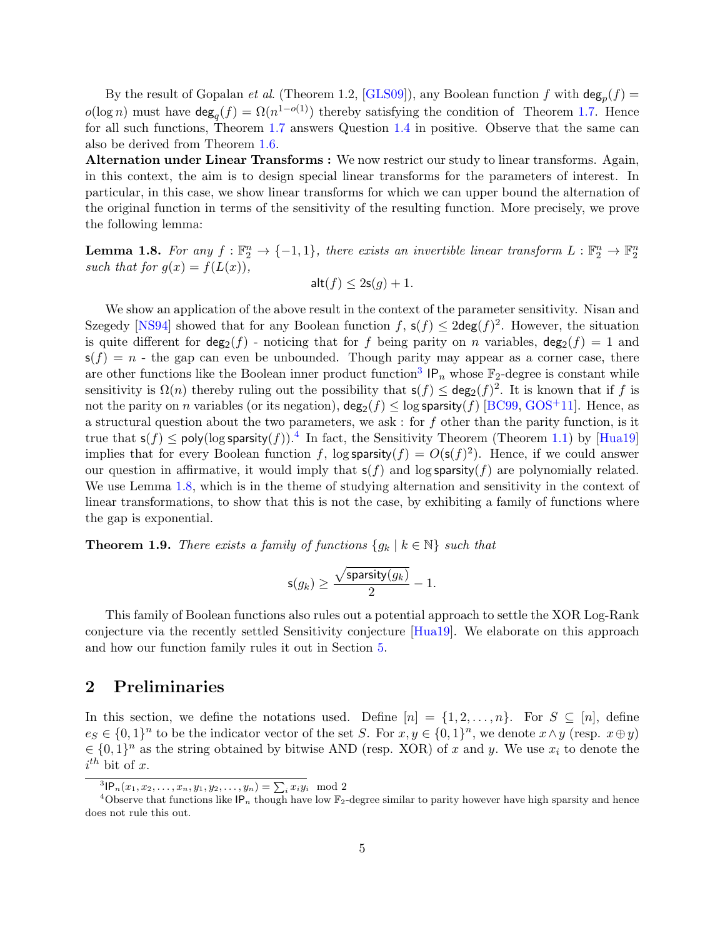By the result of Gopalan *et al.* (Theorem 1.2, [GLS09]), any Boolean function f with  $\deg_p(f)$  =  $o(\log n)$  must have  $\deg_q(f) = \Omega(n^{1-o(1)})$  thereby satisfying the condition of Theorem 1.7. Hence for all such functions, Theorem 1.7 answers Question 1.4 in positive. Observe that the same can also be derived from Theorem 1.6.

Alternation under Linear Transforms : We now restrict our study to linear transforms. Again, in this context, the aim is to design special linear transforms for the parameters of interest. In particular, in this case, we show linear transforms for which we can upper bound the alternation of the original function in terms of the sensitivity of the resulting function. More precisely, we prove the following lemma:

**Lemma 1.8.** For any  $f : \mathbb{F}_2^n \to \{-1,1\}$ , there exists an invertible linear transform  $L : \mathbb{F}_2^n \to \mathbb{F}_2^n$ such that for  $g(x) = f(L(x)),$ 

$$
\mathsf{alt}(f) \le 2\mathsf{s}(g) + 1.
$$

We show an application of the above result in the context of the parameter sensitivity. Nisan and Szegedy [NS94] showed that for any Boolean function  $f$ ,  $\mathsf{s}(f) \leq 2\mathsf{deg}(f)^2$ . However, the situation is quite different for  $deg_2(f)$  - noticing that for f being parity on n variables,  $deg_2(f) = 1$  and  $s(f) = n$  - the gap can even be unbounded. Though parity may appear as a corner case, there are other functions like the Boolean inner product function<sup>3</sup>  $IP_n$  whose  $\mathbb{F}_2$ -degree is constant while sensitivity is  $\Omega(n)$  thereby ruling out the possibility that  $s(f) \leq deg_2(f)^2$ . It is known that if f is not the parity on n variables (or its negation),  $\deg_2(f) \leq \log$  sparsity(f) [BC99, GOS<sup>+</sup>11]. Hence, as a structural question about the two parameters, we ask : for  $f$  other than the parity function, is it true that  $\mathsf{s}(f) \le \text{poly}(\log \mathsf{sparsity}(f))$ .<sup>4</sup> In fact, the Sensitivity Theorem (Theorem 1.1) by [Hua19] implies that for every Boolean function f,  $\log$  sparsity $(f) = O(s(f)^2)$ . Hence, if we could answer our question in affirmative, it would imply that  $s(f)$  and log sparsity(f) are polynomially related. We use Lemma 1.8, which is in the theme of studying alternation and sensitivity in the context of linear transformations, to show that this is not the case, by exhibiting a family of functions where the gap is exponential.

**Theorem 1.9.** There exists a family of functions  $\{g_k | k \in \mathbb{N}\}\$  such that

$$
\mathsf{s}(g_k) \ge \frac{\sqrt{\mathsf{sparsity}(g_k)}}{2} - 1.
$$

This family of Boolean functions also rules out a potential approach to settle the XOR Log-Rank conjecture via the recently settled Sensitivity conjecture [Hua19]. We elaborate on this approach and how our function family rules it out in Section 5.

#### 2 Preliminaries

In this section, we define the notations used. Define  $[n] = \{1, 2, ..., n\}$ . For  $S \subseteq [n]$ , define  $e_S \in \{0,1\}^n$  to be the indicator vector of the set S. For  $x, y \in \{0,1\}^n$ , we denote  $x \wedge y$  (resp.  $x \oplus y$ )  $\in \{0,1\}^n$  as the string obtained by bitwise AND (resp. XOR) of x and y. We use  $x_i$  to denote the  $i^{th}$  bit of x.

 ${}^{3}$ IP<sub>n</sub> $(x_1, x_2, \ldots, x_n, y_1, y_2, \ldots, y_n) = \sum_i x_i y_i \mod 2$ 

<sup>&</sup>lt;sup>4</sup>Observe that functions like IP<sub>n</sub> though have low  $\mathbb{F}_2$ -degree similar to parity however have high sparsity and hence does not rule this out.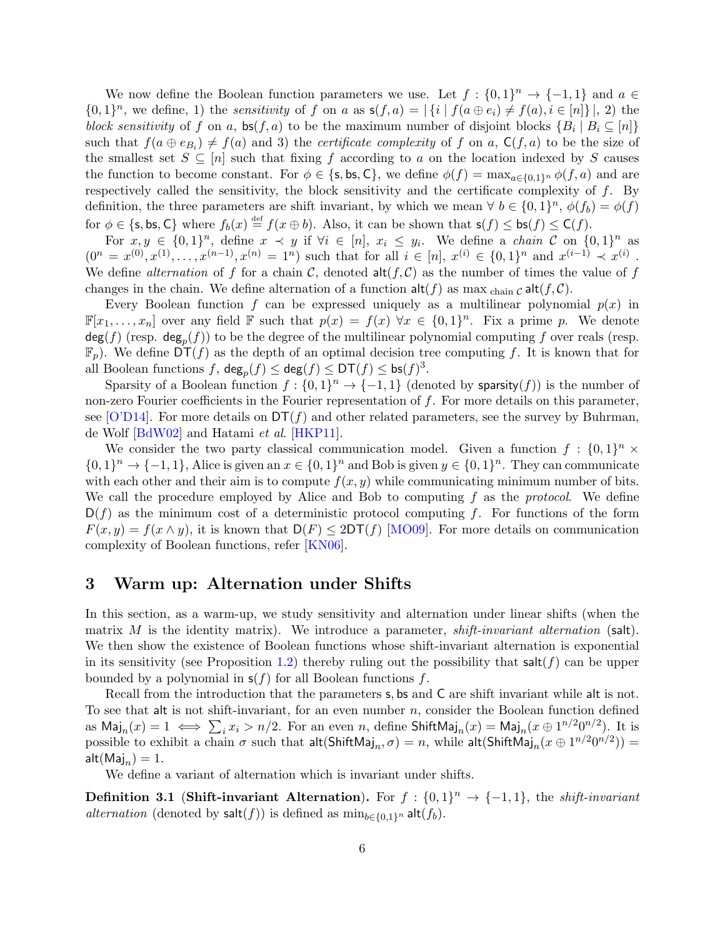We now define the Boolean function parameters we use. Let  $f: \{0,1\}^n \to \{-1,1\}$  and  $a \in$  $\{0,1\}^n$ , we define, 1) the *sensitivity* of f on a as  $s(f,a) = |\{i \mid f(a \oplus e_i) \neq f(a), i \in [n]\}|$ , 2) the block sensitivity of f on a,  $\mathsf{bs}(f, a)$  to be the maximum number of disjoint blocks  $\{B_i \mid B_i \subseteq [n]\}$ such that  $f(a \oplus e_{B_i}) \neq f(a)$  and 3) the *certificate complexity* of f on a,  $\mathsf{C}(f, a)$  to be the size of the smallest set  $S \subseteq [n]$  such that fixing f according to a on the location indexed by S causes the function to become constant. For  $\phi \in \{\text{s, bs}, \text{C}\}\$ , we define  $\phi(f) = \max_{a \in \{0,1\}^n} \phi(f, a)$  and are respectively called the sensitivity, the block sensitivity and the certificate complexity of  $f$ . By definition, the three parameters are shift invariant, by which we mean  $\forall b \in \{0,1\}^n$ ,  $\phi(f_b) = \phi(f)$ for  $\phi \in \{\mathsf{s},\mathsf{bs},\mathsf{C}\}$  where  $f_b(x) \stackrel{\text{def}}{=} f(x \oplus b)$ . Also, it can be shown that  $\mathsf{s}(f) \leq \mathsf{bs}(f) \leq \mathsf{C}(f)$ .

For  $x, y \in \{0, 1\}^n$ , define  $x \prec y$  if  $\forall i \in [n]$ ,  $x_i \leq y_i$ . We define a *chain*  $C$  on  $\{0, 1\}^n$  as  $(0^n = x^{(0)}, x^{(1)}, \ldots, x^{(n-1)}, x^{(n)} = 1^n)$  such that for all  $i \in [n], x^{(i)} \in \{0, 1\}^n$  and  $x^{(i-1)} \prec x^{(i)}$ . We define *alternation* of f for a chain C, denoted  $\text{alt}(f, C)$  as the number of times the value of f changes in the chain. We define alternation of a function  $\mathsf{alt}(f)$  as max  $_{\text{chain } C}$  alt $(f, C)$ .

Every Boolean function f can be expressed uniquely as a multilinear polynomial  $p(x)$  in  $\mathbb{F}[x_1,\ldots,x_n]$  over any field  $\mathbb F$  such that  $p(x) = f(x) \,\forall x \in \{0,1\}^n$ . Fix a prime p. We denote  $\deg(f)$  (resp.  $\deg_p(f)$ ) to be the degree of the multilinear polynomial computing  $f$  over reals (resp.  $\mathbb{F}_p$ ). We define  $DT(f)$  as the depth of an optimal decision tree computing f. It is known that for all Boolean functions  $f$ ,  $\deg_p(f) \leq \deg(f) \leq \mathsf{DT}(f) \leq \mathsf{bs}(f)^3$ .

Sparsity of a Boolean function  $f: \{0,1\}^n \to \{-1,1\}$  (denoted by sparsity(f)) is the number of non-zero Fourier coefficients in the Fourier representation of f. For more details on this parameter, see [O'D14]. For more details on  $DT(f)$  and other related parameters, see the survey by Buhrman, de Wolf [BdW02] and Hatami et al. [HKP11].

We consider the two party classical communication model. Given a function  $f: \{0,1\}^n \times$  $\{0,1\}^n \to \{-1,1\}$ , Alice is given an  $x \in \{0,1\}^n$  and Bob is given  $y \in \{0,1\}^n$ . They can communicate with each other and their aim is to compute  $f(x, y)$  while communicating minimum number of bits. We call the procedure employed by Alice and Bob to computing  $f$  as the protocol. We define  $D(f)$  as the minimum cost of a deterministic protocol computing f. For functions of the form  $F(x, y) = f(x \wedge y)$ , it is known that  $D(F) \leq 2DT(f)$  [MO09]. For more details on communication complexity of Boolean functions, refer [KN06].

### 3 Warm up: Alternation under Shifts

In this section, as a warm-up, we study sensitivity and alternation under linear shifts (when the matrix M is the identity matrix). We introduce a parameter, shift-invariant alternation (salt). We then show the existence of Boolean functions whose shift-invariant alternation is exponential in its sensitivity (see Proposition 1.2) thereby ruling out the possibility that salt( $f$ ) can be upper bounded by a polynomial in  $s(f)$  for all Boolean functions f.

Recall from the introduction that the parameters s, bs and C are shift invariant while alt is not. To see that alt is not shift-invariant, for an even number  $n$ , consider the Boolean function defined as  $\text{Maj}_n(x) = 1 \iff \sum_i x_i > n/2$ . For an even n, define  $\text{ShiftMaj}_n(x) = \text{Maj}_n(x \oplus 1^{n/2}0^{n/2})$ . It is possible to exhibit a chain  $\sigma$  such that  $\mathsf{alt}(\mathsf{ShiftMaj}_n, \sigma) = n$ , while  $\mathsf{alt}(\mathsf{ShiftMaj}_n(x \oplus 1^{n/2}0^{n/2})) =$  $\mathsf{alt}(\mathsf{Maj}_n) = 1.$ 

We define a variant of alternation which is invariant under shifts.

**Definition 3.1 (Shift-invariant Alternation).** For  $f: \{0,1\}^n \rightarrow \{-1,1\}$ , the *shift-invariant* alternation (denoted by  $\textsf{salt}(f)$ ) is defined as  $\min_{b \in \{0,1\}^n} \textsf{alt}(f_b)$ .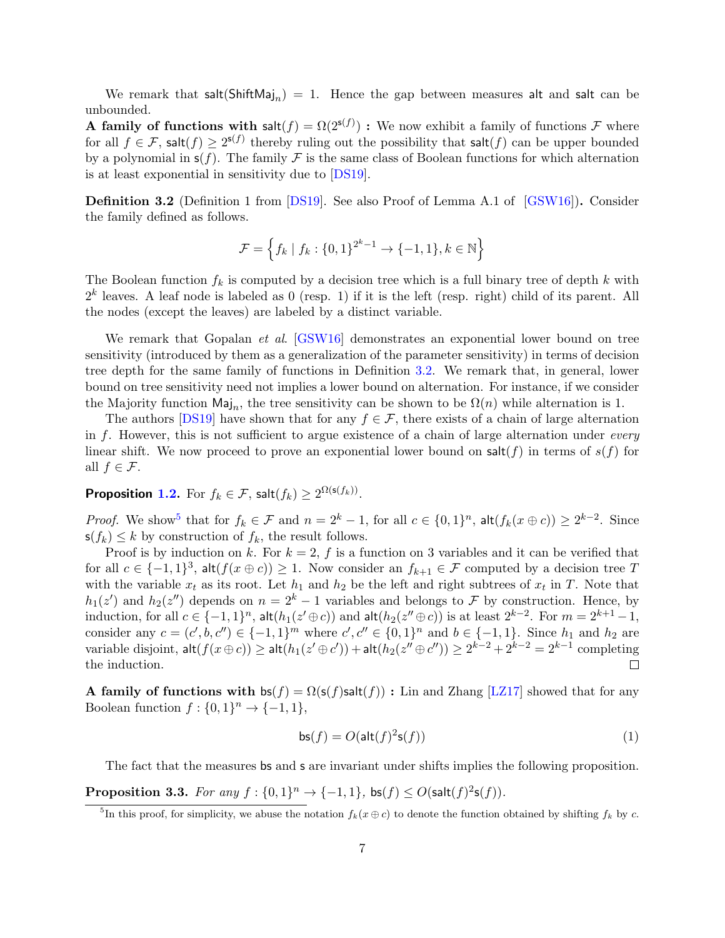We remark that  $\mathsf{salt}(\mathsf{ShiftMaj}_n) = 1$ . Hence the gap between measures alt and salt can be unbounded.

**A family of functions with salt** $(f) = \Omega(2^{s(f)})$ : We now exhibit a family of functions F where for all  $f \in \mathcal{F}$ , salt $(f) \geq 2^{\mathsf{s}(f)}$  thereby ruling out the possibility that salt $(f)$  can be upper bounded by a polynomial in  $s(f)$ . The family F is the same class of Boolean functions for which alternation is at least exponential in sensitivity due to [DS19].

Definition 3.2 (Definition 1 from [DS19]. See also Proof of Lemma A.1 of [GSW16]). Consider the family defined as follows.

$$
\mathcal{F} = \left\{ f_k \mid f_k : \{0, 1\}^{2^k - 1} \to \{-1, 1\}, k \in \mathbb{N} \right\}
$$

The Boolean function  $f_k$  is computed by a decision tree which is a full binary tree of depth k with  $2<sup>k</sup>$  leaves. A leaf node is labeled as 0 (resp. 1) if it is the left (resp. right) child of its parent. All the nodes (except the leaves) are labeled by a distinct variable.

We remark that Gopalan *et al.* [GSW16] demonstrates an exponential lower bound on tree sensitivity (introduced by them as a generalization of the parameter sensitivity) in terms of decision tree depth for the same family of functions in Definition 3.2. We remark that, in general, lower bound on tree sensitivity need not implies a lower bound on alternation. For instance, if we consider the Majority function  $\text{Maj}_n$ , the tree sensitivity can be shown to be  $\Omega(n)$  while alternation is 1.

The authors [DS19] have shown that for any  $f \in \mathcal{F}$ , there exists of a chain of large alternation in f. However, this is not sufficient to argue existence of a chain of large alternation under *every* linear shift. We now proceed to prove an exponential lower bound on salt(f) in terms of  $s(f)$  for all  $f \in \mathcal{F}$ .

**Proposition 1.2.** For  $f_k \in \mathcal{F}$ ,  $\mathsf{salt}(f_k) \geq 2^{\Omega(\mathsf{s}(f_k))}$ .

*Proof.* We show<sup>5</sup> that for  $f_k \in \mathcal{F}$  and  $n = 2^k - 1$ , for all  $c \in \{0, 1\}^n$ ,  $\mathsf{alt}(f_k(x \oplus c)) \geq 2^{k-2}$ . Since  $s(f_k) \leq k$  by construction of  $f_k$ , the result follows.

Proof is by induction on k. For  $k = 2$ , f is a function on 3 variables and it can be verified that for all  $c \in \{-1,1\}^3$ ,  $\mathsf{alt}(f(x \oplus c)) \geq 1$ . Now consider an  $f_{k+1} \in \mathcal{F}$  computed by a decision tree T with the variable  $x_t$  as its root. Let  $h_1$  and  $h_2$  be the left and right subtrees of  $x_t$  in T. Note that  $h_1(z')$  and  $h_2(z'')$  depends on  $n = 2^k - 1$  variables and belongs to F by construction. Hence, by induction, for all  $c \in \{-1,1\}^n$ ,  $\mathsf{alt}(h_1(z' \oplus c))$  and  $\mathsf{alt}(h_2(z'' \oplus c))$  is at least  $2^{k-2}$ . For  $m = 2^{k+1} - 1$ , consider any  $c = (c', b, c'') \in \{-1, 1\}^m$  where  $c', c'' \in \{0, 1\}^n$  and  $b \in \{-1, 1\}$ . Since  $h_1$  and  $h_2$  are variable disjoint,  $\mathsf{alt}(f(x\oplus c)) \geq \mathsf{alt}(h_1(z'\oplus c')) + \mathsf{alt}(h_2(z''\oplus c'')) \geq 2^{k-2} + 2^{k-2} = 2^{k-1}$  completing the induction.  $\Box$ 

A family of functions with  $bs(f) = \Omega(s(f)_{sat}(f))$ : Lin and Zhang [LZ17] showed that for any Boolean function  $f: \{0,1\}^n \to \{-1,1\},\$ 

$$
\mathsf{bs}(f) = O(\mathsf{alt}(f)^2 \mathsf{s}(f))\tag{1}
$$

The fact that the measures bs and s are invariant under shifts implies the following proposition.

**Proposition 3.3.** For any  $f: \{0,1\}^n \rightarrow \{-1,1\}$ ,  $\mathsf{bs}(f) \leq O(\mathsf{salt}(f)^2\mathsf{s}(f)).$ 

<sup>&</sup>lt;sup>5</sup>In this proof, for simplicity, we abuse the notation  $f_k(x \oplus c)$  to denote the function obtained by shifting  $f_k$  by c.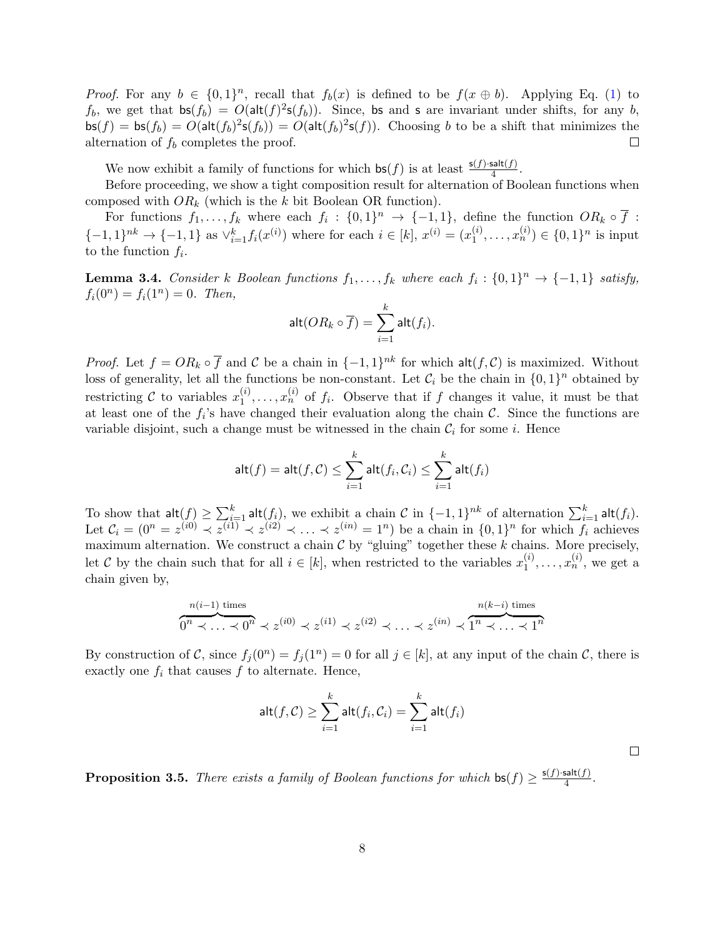*Proof.* For any  $b \in \{0,1\}^n$ , recall that  $f_b(x)$  is defined to be  $f(x \oplus b)$ . Applying Eq. (1) to  $f_b$ , we get that  $\mathsf{bs}(f_b) = O(\mathsf{alt}(f)^2 \mathsf{s}(f_b))$ . Since, bs and s are invariant under shifts, for any b,  $\mathsf{bs}(f) = \mathsf{bs}(f_b) = O(\mathsf{alt}(f_b)^2 \mathsf{s}(f_b)) = O(\mathsf{alt}(f_b)^2 \mathsf{s}(f)).$  Choosing b to be a shift that minimizes the alternation of  $f_b$  completes the proof.  $\Box$ 

We now exhibit a family of functions for which  $\mathsf{bs}(f)$  is at least  $\frac{\mathsf{s}(f) \cdot \mathsf{salt}(f)}{4}$ .

Before proceeding, we show a tight composition result for alternation of Boolean functions when composed with  $OR_k$  (which is the k bit Boolean OR function).

For functions  $f_1, \ldots, f_k$  where each  $f_i : \{0,1\}^n \to \{-1,1\}$ , define the function  $OR_k \circ \overline{f}$ :  ${-1, 1}^{nk} \rightarrow {-1, 1}$  as  $\vee_{i=1}^{k} f_i(x^{(i)})$  where for each  $i \in [k]$ ,  $x^{(i)} = (x_1^{(i)})$  $\binom{i}{1}, \ldots, x_n^{(i)} \in \{0, 1\}^n$  is input to the function  $f_i$ .

**Lemma 3.4.** Consider k Boolean functions  $f_1, \ldots, f_k$  where each  $f_i : \{0,1\}^n \to \{-1,1\}$  satisfy,  $f_i(0^n) = f_i(1^n) = 0$ . Then,

$$
\mathsf{alt}(OR_k \circ \overline{f}) = \sum_{i=1}^k \mathsf{alt}(f_i).
$$

*Proof.* Let  $f = OR_k \circ \overline{f}$  and  $\overline{C}$  be a chain in  $\{-1,1\}^{nk}$  for which  $\mathsf{alt}(f, \mathcal{C})$  is maximized. Without loss of generality, let all the functions be non-constant. Let  $\mathcal{C}_i$  be the chain in  $\{0,1\}^n$  obtained by restricting  $C$  to variables  $x_1^{(i)}$  $x_1^{(i)}, \ldots, x_n^{(i)}$  of  $f_i$ . Observe that if f changes it value, it must be that at least one of the  $f_i$ 's have changed their evaluation along the chain  $\mathcal{C}$ . Since the functions are variable disjoint, such a change must be witnessed in the chain  $C_i$  for some i. Hence

$$
\mathsf{alt}(f) = \mathsf{alt}(f, \mathcal{C}) \le \sum_{i=1}^k \mathsf{alt}(f_i, \mathcal{C}_i) \le \sum_{i=1}^k \mathsf{alt}(f_i)
$$

To show that  $\mathsf{alt}(f) \geq \sum_{i=1}^k \mathsf{alt}(f_i)$ , we exhibit a chain  $\mathcal C$  in  $\{-1,1\}^{nk}$  of alternation  $\sum_{i=1}^k \mathsf{alt}(f_i)$ . Let  $C_i = (0^n = z^{(i0)} \prec z^{(i1)} \prec z^{(i2)} \prec \ldots \prec z^{(in)} = 1^n)$  be a chain in  $\{0,1\}^n$  for which  $f_i$  achieves maximum alternation. We construct a chain  $\mathcal C$  by "gluing" together these  $k$  chains. More precisely, let C by the chain such that for all  $i \in [k]$ , when restricted to the variables  $x_1^{(i)}$  $x_1^{(i)}, \ldots, x_n^{(i)}$ , we get a chain given by,

$$
\overbrace{0^n \prec \ldots \prec 0^n}^{n(i-1) \text{ times}} \prec z^{(i0)} \prec z^{(i1)} \prec z^{(i2)} \prec \ldots \prec z^{(in)} \prec \overbrace{1^n \prec \ldots \prec 1^n}^{n(k-i) \text{ times}}
$$

By construction of C, since  $f_j(0^n) = f_j(1^n) = 0$  for all  $j \in [k]$ , at any input of the chain C, there is exactly one  $f_i$  that causes  $f$  to alternate. Hence,

$$
\mathsf{alt}(f,\mathcal{C}) \ge \sum_{i=1}^k \mathsf{alt}(f_i,\mathcal{C}_i) = \sum_{i=1}^k \mathsf{alt}(f_i)
$$

 $\Box$ 

**Proposition 3.5.** There exists a family of Boolean functions for which  $bs(f) \ge \frac{s(f) \cdot salt(f)}{4}$  $\frac{\sin(J)}{4}$ .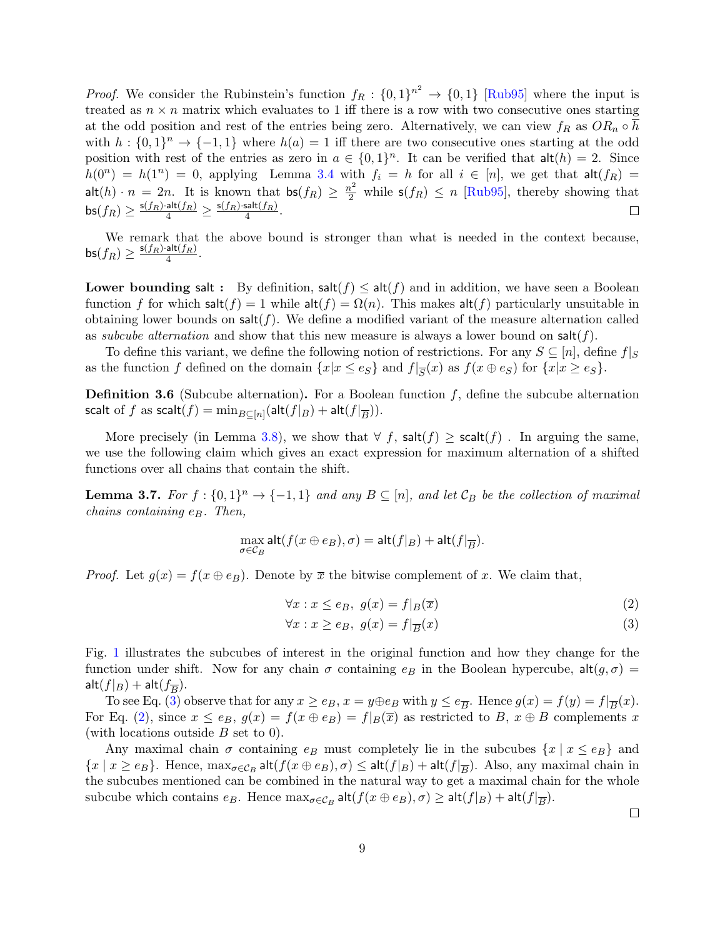*Proof.* We consider the Rubinstein's function  $f_R: \{0,1\}^{n^2} \to \{0,1\}$  [Rub95] where the input is treated as  $n \times n$  matrix which evaluates to 1 iff there is a row with two consecutive ones starting at the odd position and rest of the entries being zero. Alternatively, we can view  $f_R$  as  $OR_n \circ h$ with  $h: \{0,1\}^n \to \{-1,1\}$  where  $h(a) = 1$  iff there are two consecutive ones starting at the odd position with rest of the entries as zero in  $a \in \{0,1\}^n$ . It can be verified that  $\mathsf{alt}(h) = 2$ . Since  $h(0^n) = h(1^n) = 0$ , applying Lemma 3.4 with  $f_i = h$  for all  $i \in [n]$ , we get that  $\mathsf{alt}(f_R) =$  $\mathsf{alt}(h) \cdot n = 2n$ . It is known that  $\mathsf{bs}(f_R) \geq \frac{n^2}{2}$  while  $\mathsf{s}(f_R) \leq n$  [Rub95], thereby showing that  $\mathsf{bs}(f_R) \geq \frac{\mathsf{s}(f_R) \cdot \mathsf{alt}(f_R)}{4} \geq \frac{\mathsf{s}(f_R) \cdot \mathsf{salt}(f_R)}{4}$  $\frac{\text{sat}(|R|)}{4}$ .  $\Box$ 

We remark that the above bound is stronger than what is needed in the context because,  $\mathsf{bs}(f_R) \geq \frac{\mathsf{s}(f_R) \cdot \mathsf{alt}(f_R)}{4}$  $\frac{\mathsf{dil}(JR)}{4}$ .

**Lower bounding salt :** By definition,  $\text{salt}(f) \leq \text{alt}(f)$  and in addition, we have seen a Boolean function f for which salt $(f) = 1$  while alt $(f) = \Omega(n)$ . This makes alt $(f)$  particularly unsuitable in obtaining lower bounds on  $\text{salt}(f)$ . We define a modified variant of the measure alternation called as subcube alternation and show that this new measure is always a lower bound on  $\text{salt}(f)$ .

To define this variant, we define the following notion of restrictions. For any  $S \subseteq [n]$ , define  $f|_S$ as the function f defined on the domain  $\{x|x \leq e_S\}$  and  $f|_{\overline{S}}(x)$  as  $f(x \oplus e_S)$  for  $\{x|x \geq e_S\}$ .

**Definition 3.6** (Subcube alternation). For a Boolean function  $f$ , define the subcube alternation scalt of  $f$  as scalt $(f) = \min_{B \subseteq [n]} (\mathsf{alt}(f|_B) + \mathsf{alt}(f|_{\overline{B}})).$ 

More precisely (in Lemma 3.8), we show that  $\forall f$ , salt $(f) \geq$  scalt $(f)$ . In arguing the same, we use the following claim which gives an exact expression for maximum alternation of a shifted functions over all chains that contain the shift.

**Lemma 3.7.** For  $f : \{0,1\}^n \to \{-1,1\}$  and any  $B \subseteq [n]$ , and let  $\mathcal{C}_B$  be the collection of maximal chains containing  $e_B$ . Then,

$$
\max_{\sigma \in \mathcal{C}_B} \mathsf{alt}(f(x \oplus e_B), \sigma) = \mathsf{alt}(f|_B) + \mathsf{alt}(f|_{\overline{B}}).
$$

*Proof.* Let  $g(x) = f(x \oplus e_B)$ . Denote by  $\overline{x}$  the bitwise complement of x. We claim that,

$$
\forall x: x \le e_B, \ g(x) = f|_B(\overline{x}) \tag{2}
$$

$$
\forall x: x \ge e_B, \ g(x) = f|_{\overline{B}}(x) \tag{3}
$$

Fig. 1 illustrates the subcubes of interest in the original function and how they change for the function under shift. Now for any chain  $\sigma$  containing  $e_B$  in the Boolean hypercube,  $\text{alt}(g, \sigma) =$  $\mathsf{alt}(f|_B) + \mathsf{alt}(f_{\overline{B}}).$ 

To see Eq. (3) observe that for any  $x \ge e_B$ ,  $x = y \oplus e_B$  with  $y \le e_{\overline{B}}$ . Hence  $g(x) = f(y) = f|_{\overline{B}}(x)$ . For Eq. (2), since  $x \le e_B$ ,  $g(x) = f(x \oplus e_B) = f|_B(\overline{x})$  as restricted to B,  $x \oplus B$  complements x (with locations outside  $B$  set to 0).

Any maximal chain  $\sigma$  containing  $e_B$  must completely lie in the subcubes  $\{x \mid x \le e_B\}$  and  $\{x \mid x \ge e_B\}$ . Hence,  $\max_{\sigma \in C_B} \text{alt}(f(x \oplus e_B), \sigma) \le \text{alt}(f|_B) + \text{alt}(f|_{\overline{B}})$ . Also, any maximal chain in the subcubes mentioned can be combined in the natural way to get a maximal chain for the whole subcube which contains  $e_B$ . Hence  $\max_{\sigma \in C_B} \mathsf{alt}(f(x \oplus e_B), \sigma) \geq \mathsf{alt}(f|_B) + \mathsf{alt}(f|_{\overline{B}}).$ 

 $\Box$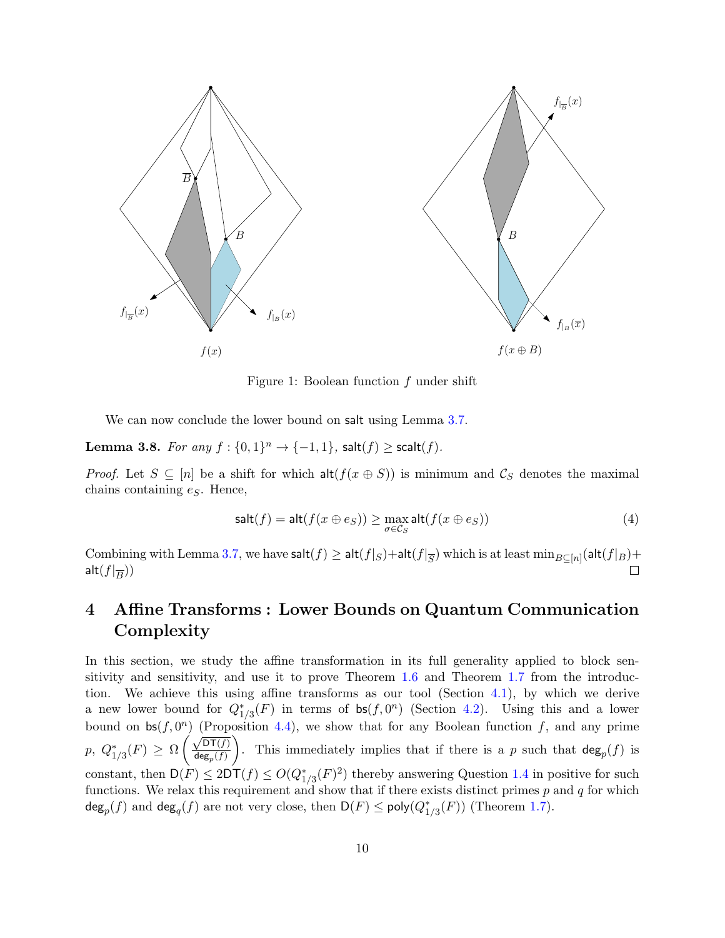

Figure 1: Boolean function  $f$  under shift

We can now conclude the lower bound on salt using Lemma 3.7.

**Lemma 3.8.** For any  $f: \{0,1\}^n \rightarrow \{-1,1\}$ , salt $(f) \geq \text{scal}(f)$ .

*Proof.* Let  $S \subseteq [n]$  be a shift for which  $\text{alt}(f(x \oplus S))$  is minimum and  $\mathcal{C}_S$  denotes the maximal chains containing  $e_S$ . Hence,

$$
salt(f) = alt(f(x \oplus es)) \ge \max_{\sigma \in C_S} alt(f(x \oplus es))
$$
\n(4)

Combining with Lemma 3.7, we have  $\textsf{salt}(f) \ge \textsf{alt}(f|_S) + \textsf{alt}(f|_{\overline{S}})$  which is at least  $\min_{B \subseteq [n]} (\textsf{alt}(f|_B) +$  $\mathsf{alt}(f|_{\overline{B}}))$ 

## 4 Affine Transforms : Lower Bounds on Quantum Communication Complexity

In this section, we study the affine transformation in its full generality applied to block sensitivity and sensitivity, and use it to prove Theorem 1.6 and Theorem 1.7 from the introduction. We achieve this using affine transforms as our tool (Section 4.1), by which we derive a new lower bound for  $Q_{1/3}^*(F)$  in terms of  $\mathsf{bs}(f, 0^n)$  (Section 4.2). Using this and a lower bound on  $bs(f, 0^n)$  (Proposition 4.4), we show that for any Boolean function f, and any prime p,  $Q_{1/3}^*(F) \geq \Omega$  $\left(\sqrt{\mathsf{DT}(f)}\right)$  $\mathsf{deg}_{p}(f)$  $\setminus$ . This immediately implies that if there is a p such that  $deg_p(f)$  is constant, then  $D(F) \leq 2DT(f) \leq O(Q_{1/3}^*(F)^2)$  thereby answering Question 1.4 in positive for such functions. We relax this requirement and show that if there exists distinct primes  $p$  and  $q$  for which  $\deg_p(f)$  and  $\deg_q(f)$  are not very close, then  $\mathsf{D}(F) \le \mathsf{poly}(Q_{1/3}^*(F))$  (Theorem 1.7).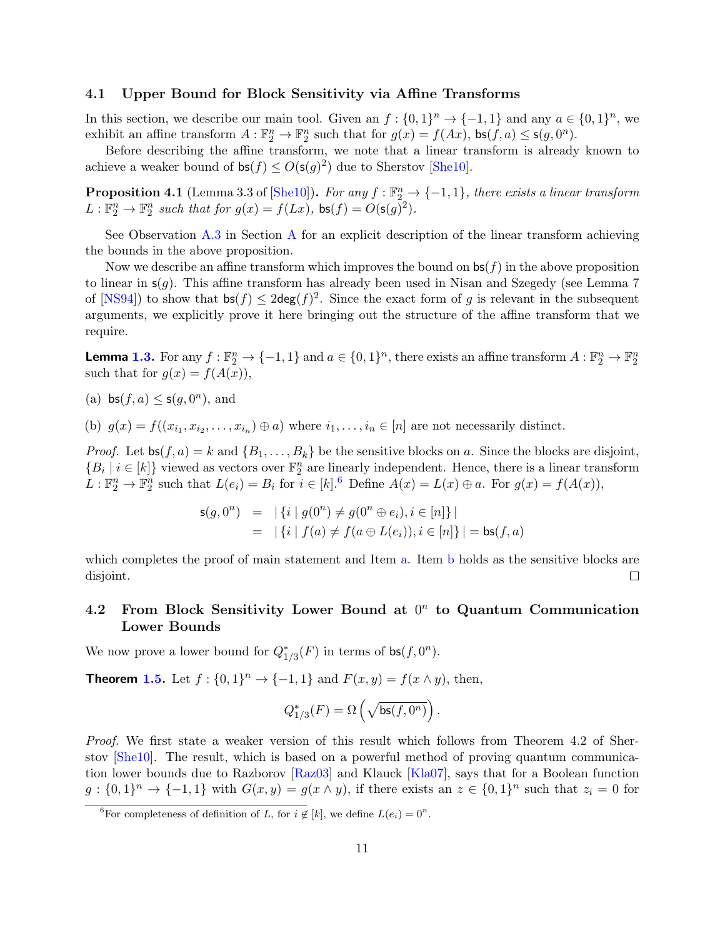#### 4.1 Upper Bound for Block Sensitivity via Affine Transforms

In this section, we describe our main tool. Given an  $f: \{0,1\}^n \to \{-1,1\}$  and any  $a \in \{0,1\}^n$ , we exhibit an affine transform  $A: \mathbb{F}_2^n \to \mathbb{F}_2^n$  such that for  $g(x) = f(Ax)$ ,  $\mathsf{bs}(f, a) \leq \mathsf{s}(g, 0^n)$ .

Before describing the affine transform, we note that a linear transform is already known to achieve a weaker bound of  $\mathsf{bs}(f) \le O(\mathsf{s}(g)^2)$  due to Sherstov [She10].

**Proposition 4.1** (Lemma 3.3 of [She10]). For any  $f : \mathbb{F}_2^n \to \{-1,1\}$ , there exists a linear transform  $L: \mathbb{F}_2^n \to \mathbb{F}_2^n$  such that for  $g(x) = f(Lx)$ ,  $\mathsf{bs}(f) = O(\mathsf{s}(g)^2)$ .

See Observation A.3 in Section A for an explicit description of the linear transform achieving the bounds in the above proposition.

Now we describe an affine transform which improves the bound on  $\mathsf{bs}(f)$  in the above proposition to linear in  $s(g)$ . This affine transform has already been used in Nisan and Szegedy (see Lemma 7 of  $[NS94]$ ) to show that  $\mathsf{bs}(f) \leq 2\mathsf{deg}(f)^2$ . Since the exact form of g is relevant in the subsequent arguments, we explicitly prove it here bringing out the structure of the affine transform that we require.

**Lemma 1.3.** For any  $f : \mathbb{F}_2^n \to \{-1,1\}$  and  $a \in \{0,1\}^n$ , there exists an affine transform  $A : \mathbb{F}_2^n \to \mathbb{F}_2^n$ such that for  $g(x) = f(A(x))$ ,

(a)  $\mathsf{bs}(f, a) \leq \mathsf{s}(g, 0^n)$ , and

(b)  $g(x) = f((x_{i_1}, x_{i_2}, \ldots, x_{i_n}) \oplus a)$  where  $i_1, \ldots, i_n \in [n]$  are not necessarily distinct.

*Proof.* Let  $\mathsf{bs}(f, a) = k$  and  $\{B_1, \ldots, B_k\}$  be the sensitive blocks on a. Since the blocks are disjoint,  ${B_i \mid i \in [k]}$  viewed as vectors over  $\mathbb{F}_2^n$  are linearly independent. Hence, there is a linear transform  $L: \mathbb{F}_2^n \to \mathbb{F}_2^n$  such that  $L(e_i) = B_i$  for  $i \in [k]$ . Define  $A(x) = L(x) \oplus a$ . For  $g(x) = f(A(x))$ ,

$$
\begin{array}{rcl} \mathsf{s}(g,0^n) & = & |\{i \mid g(0^n) \neq g(0^n \oplus e_i), i \in [n]\} \, | \\ & = & |\{i \mid f(a) \neq f(a \oplus L(e_i)), i \in [n]\} \, | = \mathsf{bs}(f,a) \end{array}
$$

which completes the proof of main statement and Item a. Item b holds as the sensitive blocks are disjoint.  $\Box$ 

#### 4.2 From Block Sensitivity Lower Bound at  $0<sup>n</sup>$  to Quantum Communication Lower Bounds

We now prove a lower bound for  $Q_{1/3}^*(F)$  in terms of  $\mathsf{bs}(f, 0^n)$ .

**Theorem 1.5.** Let  $f: \{0,1\}^n \to \{-1,1\}$  and  $F(x,y) = f(x \wedge y)$ , then,

$$
Q_{1/3}^*(F) = \Omega\left(\sqrt{\mathsf{bs}(f,0^n)}\right).
$$

Proof. We first state a weaker version of this result which follows from Theorem 4.2 of Sherstov [She10]. The result, which is based on a powerful method of proving quantum communication lower bounds due to Razborov [Raz03] and Klauck [Kla07], says that for a Boolean function  $g: \{0,1\}^n \to \{-1,1\}$  with  $G(x,y) = g(x \wedge y)$ , if there exists an  $z \in \{0,1\}^n$  such that  $z_i = 0$  for

<sup>&</sup>lt;sup>6</sup>For completeness of definition of L, for  $i \notin [k]$ , we define  $L(e_i) = 0^n$ .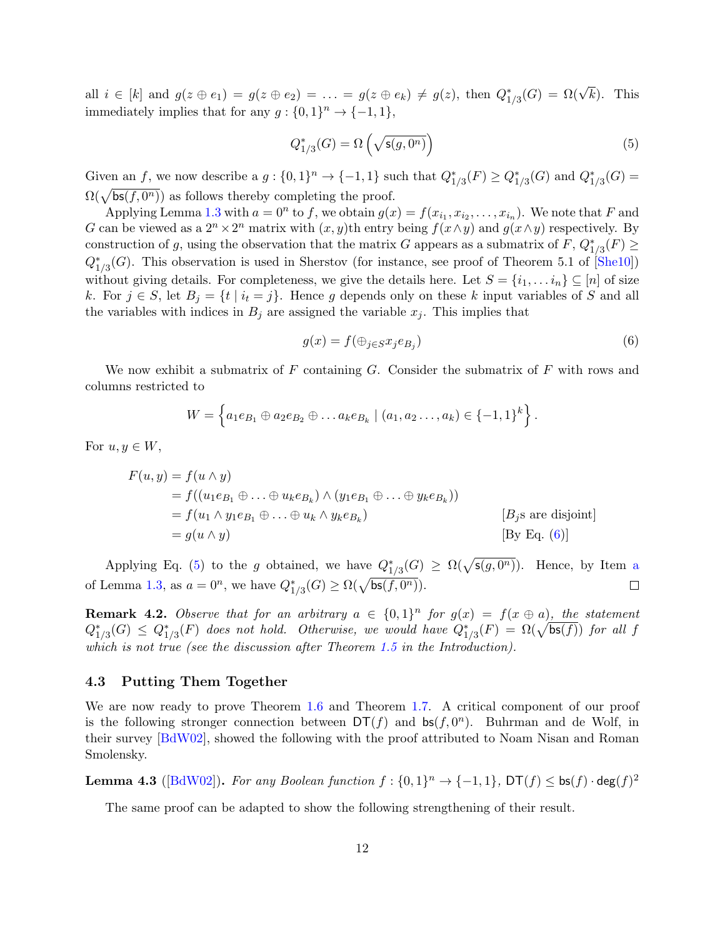all  $i \in [k]$  and  $g(z \oplus e_1) = g(z \oplus e_2) = \ldots = g(z \oplus e_k) \neq g(z)$ , then  $Q_{1/3}^*(G) = \Omega(\sqrt{k})$ . This immediately implies that for any  $g: \{0,1\}^n \to \{-1,1\},\$ 

$$
Q_{1/3}^*(G) = \Omega\left(\sqrt{\mathsf{s}(g, 0^n)}\right) \tag{5}
$$

Given an f, we now describe a  $g: \{0,1\}^n \to \{-1,1\}$  such that  $Q_{1/3}^*(F) \geq Q_{1/3}^*(G)$  and  $Q_{1/3}^*(G)$  $\Omega(\sqrt{\mathsf{bs}(f,0^n)})$  as follows thereby completing the proof.

Applying Lemma 1.3 with  $a = 0^n$  to f, we obtain  $g(x) = f(x_{i_1}, x_{i_2}, \ldots, x_{i_n})$ . We note that F and G can be viewed as a  $2^n \times 2^n$  matrix with  $(x, y)$ th entry being  $f(x \wedge y)$  and  $g(x \wedge y)$  respectively. By construction of g, using the observation that the matrix G appears as a submatrix of  $F$ ,  $Q_{1/3}^*(F) \ge$  $Q_{1/3}^*(G)$ . This observation is used in Sherstov (for instance, see proof of Theorem 5.1 of [She10]) without giving details. For completeness, we give the details here. Let  $S = \{i_1, \ldots i_n\} \subseteq [n]$  of size k. For  $j \in S$ , let  $B_j = \{t \mid i_t = j\}$ . Hence g depends only on these k input variables of S and all the variables with indices in  $B_j$  are assigned the variable  $x_j$ . This implies that

$$
g(x) = f(\bigoplus_{j \in S} x_j e_{B_j})
$$
\n<sup>(6)</sup>

We now exhibit a submatrix of  $F$  containing  $G$ . Consider the submatrix of  $F$  with rows and columns restricted to

$$
W = \left\{ a_1 e_{B_1} \oplus a_2 e_{B_2} \oplus \ldots a_k e_{B_k} \mid (a_1, a_2 \ldots, a_k) \in \{-1, 1\}^k \right\}.
$$

For  $u, y \in W$ ,

$$
F(u, y) = f(u \wedge y)
$$
  
=  $f((u_1e_{B_1} \oplus ... \oplus u_ke_{B_k}) \wedge (y_1e_{B_1} \oplus ... \oplus y_ke_{B_k}))$   
=  $f(u_1 \wedge y_1e_{B_1} \oplus ... \oplus u_k \wedge y_ke_{B_k})$  [*B<sub>j</sub>s are disjoint*]  
=  $g(u \wedge y)$  [*By Eq. (6)*]

Applying Eq. (5) to the g obtained, we have  $Q_{1/3}^*(G) \ge \Omega(\sqrt{s(g, 0^n)})$ . Hence, by Item a of Lemma 1.3, as  $a = 0^n$ , we have  $Q_{1/3}^*(G) \ge \Omega(\sqrt{\mathsf{bs}(f, 0^n)})$ .  $\Box$ 

**Remark 4.2.** Observe that for an arbitrary  $a \in \{0,1\}^n$  for  $g(x) = f(x \oplus a)$ , the statement  $Q_{1/3}^*(G) \leq Q_{1/3}^*(F)$  does not hold. Otherwise, we would have  $Q_{1/3}^*(F) = \Omega(\sqrt{\mathsf{bs}(f)})$  for all f which is not true (see the discussion after Theorem 1.5 in the Introduction).

#### 4.3 Putting Them Together

We are now ready to prove Theorem 1.6 and Theorem 1.7. A critical component of our proof is the following stronger connection between  $DT(f)$  and  $bs(f, 0<sup>n</sup>)$ . Buhrman and de Wolf, in their survey [BdW02], showed the following with the proof attributed to Noam Nisan and Roman Smolensky.

**Lemma 4.3** ([BdW02]). For any Boolean function  $f: \{0,1\}^n \to \{-1,1\}$ ,  $DT(f) \leq bs(f) \cdot deg(f)^2$ 

The same proof can be adapted to show the following strengthening of their result.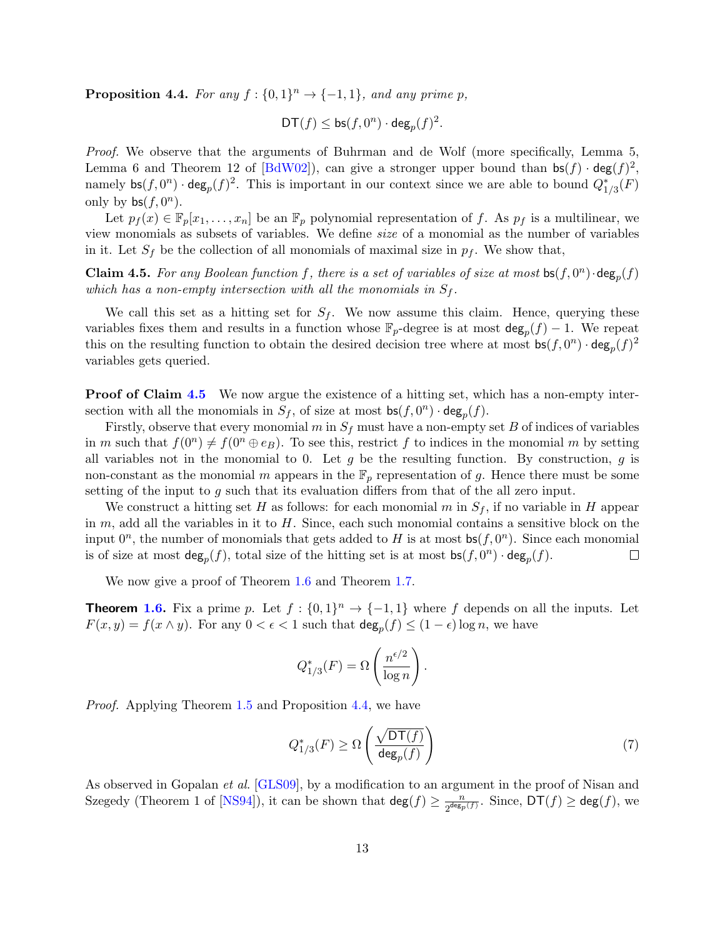**Proposition 4.4.** For any  $f: \{0,1\}^n \rightarrow \{-1,1\}$ , and any prime p,

$$
\mathsf{DT}(f) \leq \mathsf{bs}(f,0^n) \cdot \mathsf{deg}_p(f)^2.
$$

Proof. We observe that the arguments of Buhrman and de Wolf (more specifically, Lemma 5, Lemma 6 and Theorem 12 of [BdW02]), can give a stronger upper bound than  $\mathsf{bs}(f) \cdot \mathsf{deg}(f)^2$ , namely  $\mathsf{bs}(f,0^n) \cdot \mathsf{deg}_p(f)^2$ . This is important in our context since we are able to bound  $Q_{1/3}^*(F)$ only by  $bs(f, 0^n)$ .

Let  $p_f(x) \in \mathbb{F}_p[x_1,\ldots,x_n]$  be an  $\mathbb{F}_p$  polynomial representation of f. As  $p_f$  is a multilinear, we view monomials as subsets of variables. We define size of a monomial as the number of variables in it. Let  $S_f$  be the collection of all monomials of maximal size in  $p_f$ . We show that,

**Claim 4.5.** For any Boolean function f, there is a set of variables of size at most  $bs(f, 0^n) \cdot deg_p(f)$ which has a non-empty intersection with all the monomials in  $S_f$ .

We call this set as a hitting set for  $S_f$ . We now assume this claim. Hence, querying these variables fixes them and results in a function whose  $\mathbb{F}_p$ -degree is at most  $\deg_p(f) - 1$ . We repeat this on the resulting function to obtain the desired decision tree where at most  $\mathsf{bs}(f, 0^n) \cdot \mathsf{deg}_p(f)^2$ variables gets queried.

**Proof of Claim 4.5** We now argue the existence of a hitting set, which has a non-empty intersection with all the monomials in  $S_f$ , of size at most  $\mathsf{bs}(f, 0^n) \cdot \mathsf{deg}_p(f)$ .

Firstly, observe that every monomial m in  $S_f$  must have a non-empty set B of indices of variables in m such that  $f(0^n) \neq f(0^n \oplus e_B)$ . To see this, restrict f to indices in the monomial m by setting all variables not in the monomial to 0. Let  $g$  be the resulting function. By construction,  $g$  is non-constant as the monomial m appears in the  $\mathbb{F}_p$  representation of g. Hence there must be some setting of the input to g such that its evaluation differs from that of the all zero input.

We construct a hitting set H as follows: for each monomial  $m$  in  $S_f$ , if no variable in H appear in  $m$ , add all the variables in it to  $H$ . Since, each such monomial contains a sensitive block on the input  $0^n$ , the number of monomials that gets added to H is at most  $bs(f, 0^n)$ . Since each monomial is of size at most  $\deg_p(f)$ , total size of the hitting set is at most  $\mathsf{bs}(f,0^n) \cdot \deg_p(f)$ .  $\Box$ 

We now give a proof of Theorem 1.6 and Theorem 1.7.

**Theorem 1.6.** Fix a prime p. Let  $f : \{0,1\}^n \to \{-1,1\}$  where f depends on all the inputs. Let  $F(x, y) = f(x \wedge y)$ . For any  $0 < \epsilon < 1$  such that  $\deg_p(f) \leq (1 - \epsilon) \log n$ , we have

$$
Q_{1/3}^*(F) = \Omega\left(\frac{n^{\epsilon/2}}{\log n}\right).
$$

Proof. Applying Theorem 1.5 and Proposition 4.4, we have

$$
Q_{1/3}^*(F) \ge \Omega\left(\frac{\sqrt{\mathsf{DT}(f)}}{\deg_p(f)}\right) \tag{7}
$$

As observed in Gopalan *et al.* [GLS09], by a modification to an argument in the proof of Nisan and Szegedy (Theorem 1 of [NS94]), it can be shown that  $\deg(f) \ge \frac{n}{2^{\deg_p}}$  $\frac{n}{2^{\deg_p(f)}}$ . Since,  $\mathsf{DT}(f) \geq \deg(f)$ , we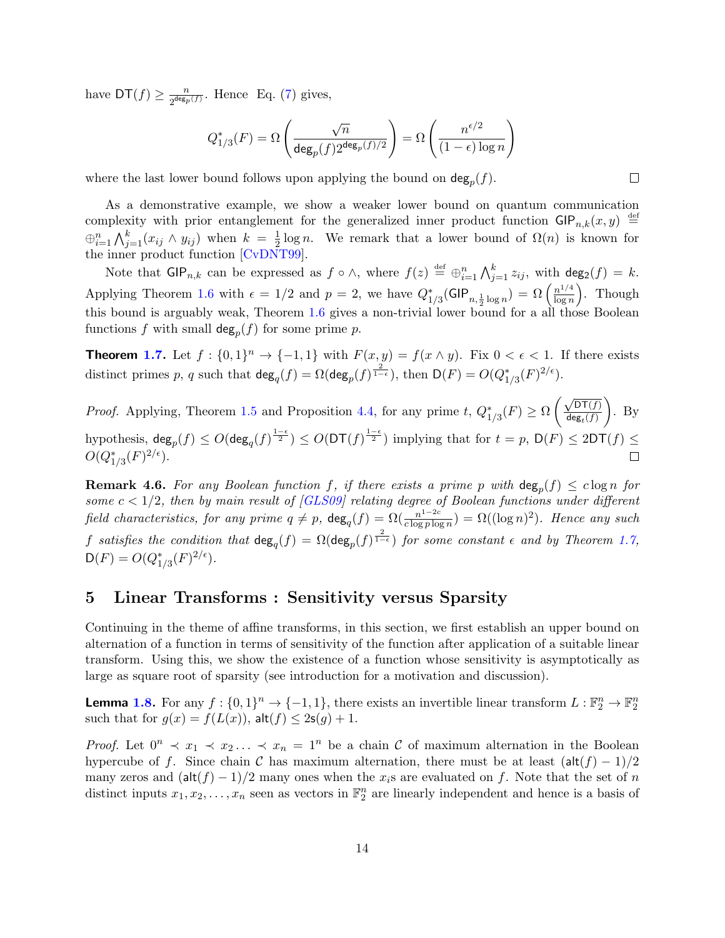have  $\mathsf{DT}(f) \geq \frac{n}{2^{\deg_p}}$  $\frac{n}{2^{\deg_p(f)}}$ . Hence Eq. (7) gives,

$$
Q_{1/3}^*(F) = \Omega\left(\frac{\sqrt{n}}{\deg_p(f)2^{\deg_p(f)/2}}\right) = \Omega\left(\frac{n^{\epsilon/2}}{(1-\epsilon)\log n}\right)
$$

where the last lower bound follows upon applying the bound on  $\deg_p(f)$ .

As a demonstrative example, we show a weaker lower bound on quantum communication complexity with prior entanglement for the generalized inner product function  $\mathsf{GIP}_{n,k}(x,y) \stackrel{\text{def}}{=}$  $\bigoplus_{i=1}^n \bigwedge_{j=1}^k (x_{ij} \wedge y_{ij})$  when  $k = \frac{1}{2}$  $\frac{1}{2} \log n$ . We remark that a lower bound of  $\Omega(n)$  is known for the inner product function [CvDNT99].

Note that  $\mathsf{GIP}_{n,k}$  can be expressed as  $f \circ \wedge$ , where  $f(z) \stackrel{\text{def}}{=} \bigoplus_{i=1}^n \bigwedge_{j=1}^k z_{ij}$ , with  $\deg_2(f) = k$ . Applying Theorem 1.6 with  $\epsilon = 1/2$  and  $p = 2$ , we have  $Q_{1/3}^*(\text{GIP}_{n,\frac{1}{2}\log n}) = \Omega\left(\frac{n^{1/4}}{\log n}\right)$  $\log n$  . Though this bound is arguably weak, Theorem 1.6 gives a non-trivial lower bound for a all those Boolean functions f with small  $\deg_p(f)$  for some prime p.

**Theorem 1.7.** Let  $f: \{0,1\}^n \to \{-1,1\}$  with  $F(x,y) = f(x \wedge y)$ . Fix  $0 < \epsilon < 1$ . If there exists distinct primes p, q such that  $\deg_q(f) = \Omega(\deg_p(f)^{\frac{2}{1-\epsilon}})$ , then  $\mathsf{D}(F) = O(Q_{1/3}^*(F)^{2/\epsilon})$ .

 $\sqrt{\mathsf{DT}(f)}$  $\setminus$ *Proof.* Applying, Theorem 1.5 and Proposition 4.4, for any prime t,  $Q_{1/3}^*(F) \ge \Omega$ . By  $\mathsf{deg}_t(f)$  $\text{hypothesis}, \ \text{deg}_p(f) \leq O(\text{deg}_q(f)^{\frac{1-\epsilon}{2}}) \leq O(\text{DT}(f)^{\frac{1-\epsilon}{2}}) \text{ implying that for } t=p, \ \text{D}(F) \leq 2\text{DT}(f) \leq 1$  $O(Q^*_{1/3}(F)^{2/\epsilon}).$  $\Box$ 

**Remark 4.6.** For any Boolean function f, if there exists a prime p with  $\deg_p(f) \leq c \log n$  for some  $c < 1/2$ , then by main result of [GLS09] relating degree of Boolean functions under different field characteristics, for any prime  $q \neq p$ ,  $\deg_q(f) = \Omega(\frac{n^{1-2c}}{c \log p \log q})$  $\frac{n^{1-2c}}{c \log p \log n}$ ) =  $\Omega((\log n)^2)$ . Hence any such f satisfies the condition that  $\deg_q(f) = \Omega(\deg_p(f)^{\frac{2}{1-\epsilon}})$  for some constant  $\epsilon$  and by Theorem 1.7,  $D(F) = O(Q_{1/3}^*(F)^{2/\epsilon}).$ 

## 5 Linear Transforms : Sensitivity versus Sparsity

Continuing in the theme of affine transforms, in this section, we first establish an upper bound on alternation of a function in terms of sensitivity of the function after application of a suitable linear transform. Using this, we show the existence of a function whose sensitivity is asymptotically as large as square root of sparsity (see introduction for a motivation and discussion).

**Lemma 1.8.** For any  $f: \{0,1\}^n \to \{-1,1\}$ , there exists an invertible linear transform  $L: \mathbb{F}_2^n \to \mathbb{F}_2^n$ such that for  $g(x) = f(L(x))$ ,  $\mathsf{alt}(f) \leq 2\mathsf{s}(g) + 1$ .

*Proof.* Let  $0^n \prec x_1 \prec x_2 \ldots \prec x_n = 1^n$  be a chain C of maximum alternation in the Boolean hypercube of f. Since chain C has maximum alternation, there must be at least  $(\text{alt}(f) - 1)/2$ many zeros and  $(\text{alt}(f) - 1)/2$  many ones when the  $x_i$ s are evaluated on f. Note that the set of n distinct inputs  $x_1, x_2, \ldots, x_n$  seen as vectors in  $\mathbb{F}_2^n$  are linearly independent and hence is a basis of

 $\Box$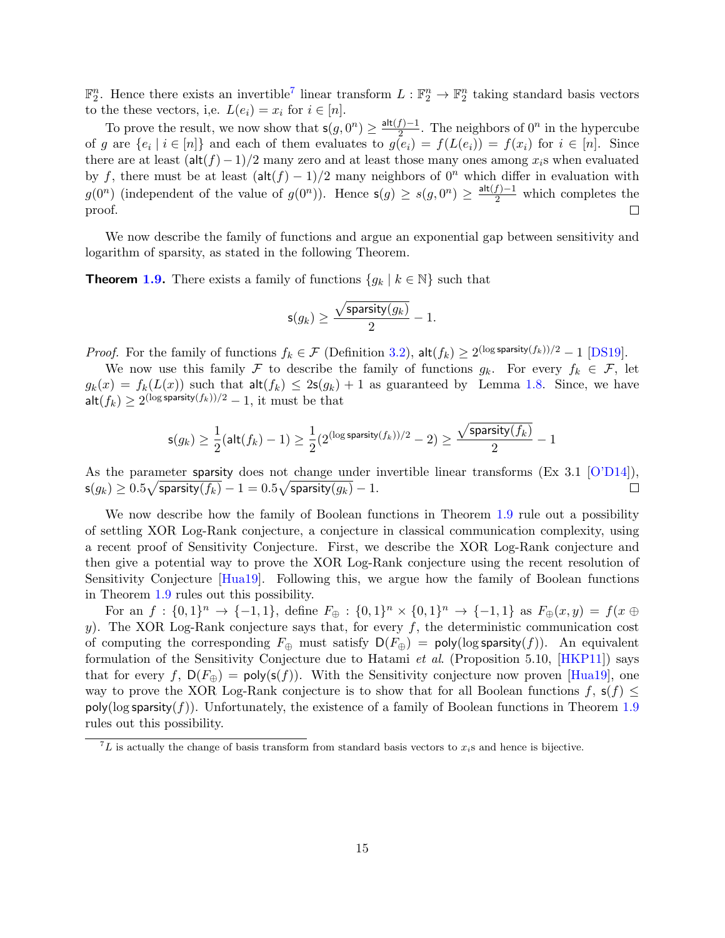$\mathbb{F}_2^n$ . Hence there exists an invertible<sup>7</sup> linear transform  $L : \mathbb{F}_2^n \to \mathbb{F}_2^n$  taking standard basis vectors to the these vectors, i,e.  $L(e_i) = x_i$  for  $i \in [n]$ .

To prove the result, we now show that  $\mathsf{s}(g, 0^n) \geq \frac{\mathsf{alt}(f) - 1}{2}$  $\frac{f}{2}$ . The neighbors of  $0^n$  in the hypercube of g are  $\{e_i \mid i \in [n]\}$  and each of them evaluates to  $g(e_i) = f(L(e_i)) = f(x_i)$  for  $i \in [n]$ . Since there are at least  $(\text{alt}(f) - 1)/2$  many zero and at least those many ones among  $x_i$ s when evaluated by f, there must be at least  $(\text{alt}(f) - 1)/2$  many neighbors of  $0^n$  which differ in evaluation with  $g(0^n)$  (independent of the value of  $g(0^n)$ ). Hence  $s(g) \geq s(g, 0^n) \geq \frac{\text{alt}(f)-1}{2}$  which completes the proof.

We now describe the family of functions and argue an exponential gap between sensitivity and logarithm of sparsity, as stated in the following Theorem.

**Theorem 1.9.** There exists a family of functions  $\{g_k | k \in \mathbb{N}\}\$  such that

$$
\mathsf{s}(g_k) \ge \frac{\sqrt{\mathsf{sparsity}(g_k)}}{2} - 1.
$$

*Proof.* For the family of functions  $f_k \in \mathcal{F}$  (Definition 3.2),  $\mathsf{alt}(f_k) \geq 2^{(\log \mathsf{sparsity}(f_k))/2} - 1$  [DS19].

We now use this family F to describe the family of functions  $g_k$ . For every  $f_k \in \mathcal{F}$ , let  $g_k(x) = f_k(L(x))$  such that  $\mathsf{alt}(f_k) \leq 2\mathsf{s}(g_k) + 1$  as guaranteed by Lemma 1.8. Since, we have  $\mathsf{alt}(f_k) \ge 2^{(\log \mathsf{sparsity}(f_k))/2} - 1$ , it must be that

$$
\mathsf{s}(g_k) \geq \frac{1}{2}(\mathsf{alt}(f_k) - 1) \geq \frac{1}{2}(2^{(\log \mathsf{sparsity}(f_k))/2} - 2) \geq \frac{\sqrt{\mathsf{sparsity}(f_k)}}{2} - 1
$$

As the parameter sparsity does not change under invertible linear transforms (Ex 3.1 [O'D14]),  $\mathsf{s}(g_k) \geq 0.5\sqrt{\mathsf{sparsity}(f_k)}-1 = 0.5\sqrt{\mathsf{sparsity}(g_k)}-1.$  $\Box$ 

We now describe how the family of Boolean functions in Theorem 1.9 rule out a possibility of settling XOR Log-Rank conjecture, a conjecture in classical communication complexity, using a recent proof of Sensitivity Conjecture. First, we describe the XOR Log-Rank conjecture and then give a potential way to prove the XOR Log-Rank conjecture using the recent resolution of Sensitivity Conjecture [Hua19]. Following this, we argue how the family of Boolean functions in Theorem 1.9 rules out this possibility.

For an  $f: \{0,1\}^n \to \{-1,1\}$ , define  $F_{\oplus}: \{0,1\}^n \times \{0,1\}^n \to \{-1,1\}$  as  $F_{\oplus}(x,y) = f(x \oplus$ y). The XOR Log-Rank conjecture says that, for every  $f$ , the deterministic communication cost of computing the corresponding  $F_{\oplus}$  must satisfy  $D(F_{\oplus}) = \text{poly}(\log \text{sparsity}(f)).$  An equivalent formulation of the Sensitivity Conjecture due to Hatami *et al.* (Proposition 5.10,  $[HKP11]$ ) says that for every f,  $D(F_{\oplus}) = \text{poly}(s(f))$ . With the Sensitivity conjecture now proven [Hua19], one way to prove the XOR Log-Rank conjecture is to show that for all Boolean functions  $f, s(f) \leq$  $\text{poly}(\log \text{sparsity}(f))$ . Unfortunately, the existence of a family of Boolean functions in Theorem 1.9 rules out this possibility.

 ${}^{7}L$  is actually the change of basis transform from standard basis vectors to  $x_i$ s and hence is bijective.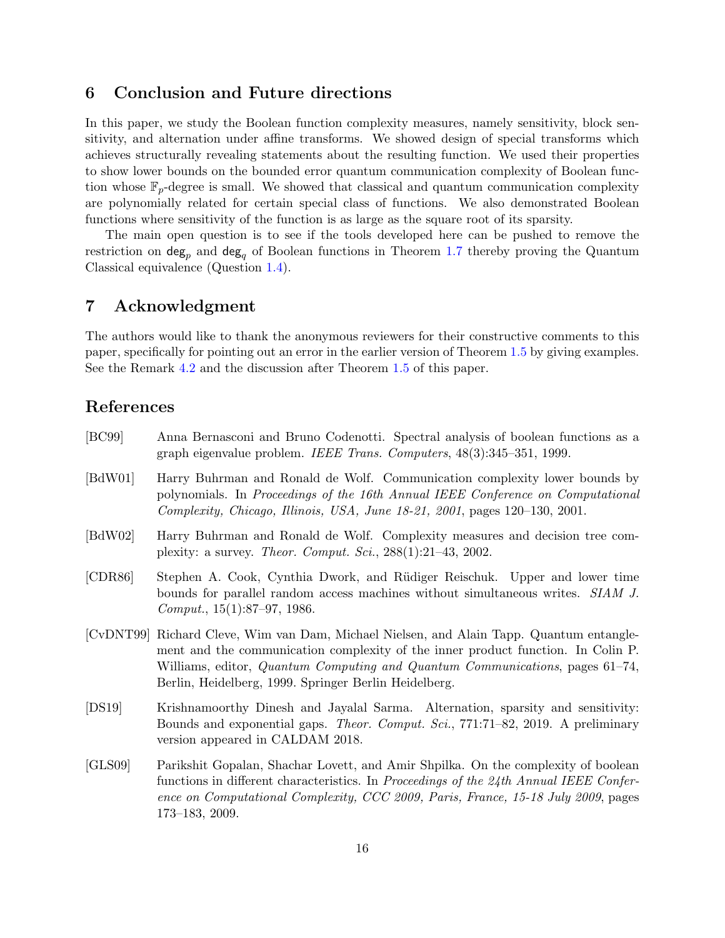## 6 Conclusion and Future directions

In this paper, we study the Boolean function complexity measures, namely sensitivity, block sensitivity, and alternation under affine transforms. We showed design of special transforms which achieves structurally revealing statements about the resulting function. We used their properties to show lower bounds on the bounded error quantum communication complexity of Boolean function whose  $\mathbb{F}_p$ -degree is small. We showed that classical and quantum communication complexity are polynomially related for certain special class of functions. We also demonstrated Boolean functions where sensitivity of the function is as large as the square root of its sparsity.

The main open question is to see if the tools developed here can be pushed to remove the restriction on  $\deg_p$  and  $\deg_q$  of Boolean functions in Theorem 1.7 thereby proving the Quantum Classical equivalence (Question 1.4).

#### 7 Acknowledgment

The authors would like to thank the anonymous reviewers for their constructive comments to this paper, specifically for pointing out an error in the earlier version of Theorem 1.5 by giving examples. See the Remark 4.2 and the discussion after Theorem 1.5 of this paper.

## References

| [BC99]  | Anna Bernasconi and Bruno Codenotti. Spectral analysis of boolean functions as a<br>graph eigenvalue problem. IEEE Trans. Computers, 48(3):345-351, 1999.                                                                                                                                                             |
|---------|-----------------------------------------------------------------------------------------------------------------------------------------------------------------------------------------------------------------------------------------------------------------------------------------------------------------------|
| [BdW01] | Harry Buhrman and Ronald de Wolf. Communication complexity lower bounds by<br>polynomials. In Proceedings of the 16th Annual IEEE Conference on Computational<br>Complexity, Chicago, Illinois, USA, June 18-21, 2001, pages 120-130, 2001.                                                                           |
| [BdW02] | Harry Buhrman and Ronald de Wolf. Complexity measures and decision tree com-<br>plexity: a survey. <i>Theor. Comput. Sci.</i> , $288(1):21-43$ , $2002$ .                                                                                                                                                             |
| [CDR86] | Stephen A. Cook, Cynthia Dwork, and Rüdiger Reischuk. Upper and lower time<br>bounds for parallel random access machines without simultaneous writes. SIAM J.<br>Comput., $15(1):87-97$ , 1986.                                                                                                                       |
|         | [CvDNT99] Richard Cleve, Wim van Dam, Michael Nielsen, and Alain Tapp. Quantum entangle-<br>ment and the communication complexity of the inner product function. In Colin P.<br>Williams, editor, Quantum Computing and Quantum Communications, pages 61-74,<br>Berlin, Heidelberg, 1999. Springer Berlin Heidelberg. |
| [DS19]  | Krishnamoorthy Dinesh and Jayalal Sarma. Alternation, sparsity and sensitivity:<br>Bounds and exponential gaps. <i>Theor. Comput. Sci.</i> , 771:71-82, 2019. A preliminary<br>version appeared in CALDAM 2018.                                                                                                       |
| [GLS09] | Parikshit Gopalan, Shachar Lovett, and Amir Shpilka. On the complexity of boolean<br>functions in different characteristics. In Proceedings of the 24th Annual IEEE Confer-<br>ence on Computational Complexity, CCC 2009, Paris, France, 15-18 July 2009, pages<br>$173-183, 2009.$                                  |
|         |                                                                                                                                                                                                                                                                                                                       |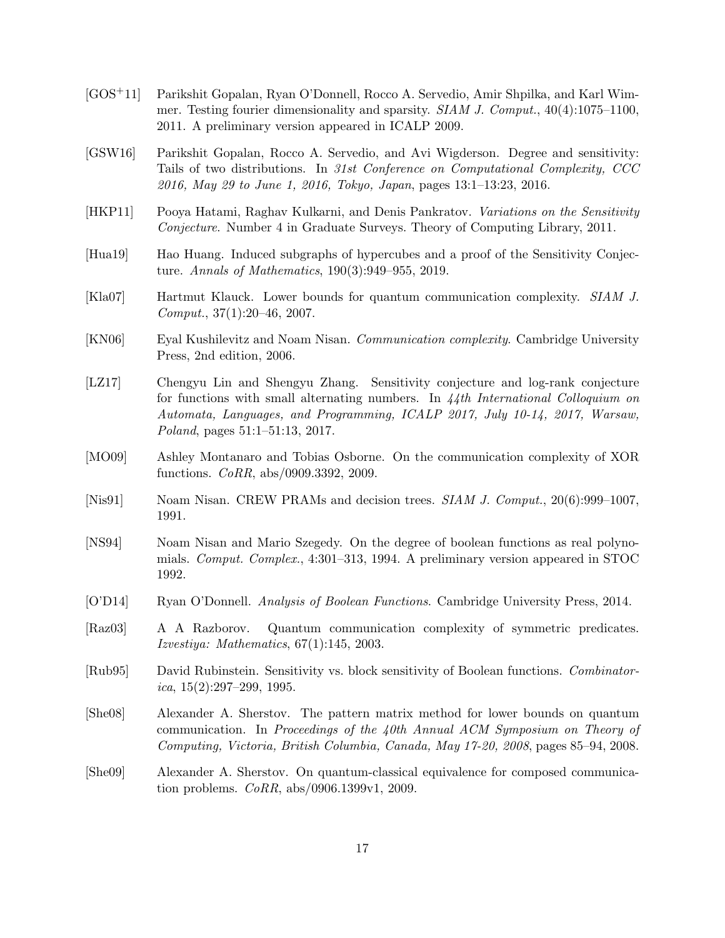- [GOS+11] Parikshit Gopalan, Ryan O'Donnell, Rocco A. Servedio, Amir Shpilka, and Karl Wimmer. Testing fourier dimensionality and sparsity. SIAM J. Comput., 40(4):1075–1100, 2011. A preliminary version appeared in ICALP 2009.
- [GSW16] Parikshit Gopalan, Rocco A. Servedio, and Avi Wigderson. Degree and sensitivity: Tails of two distributions. In 31st Conference on Computational Complexity, CCC 2016, May 29 to June 1, 2016, Tokyo, Japan, pages 13:1–13:23, 2016.
- [HKP11] Pooya Hatami, Raghav Kulkarni, and Denis Pankratov. Variations on the Sensitivity Conjecture. Number 4 in Graduate Surveys. Theory of Computing Library, 2011.
- [Hua19] Hao Huang. Induced subgraphs of hypercubes and a proof of the Sensitivity Conjecture. Annals of Mathematics, 190(3):949–955, 2019.
- [Kla07] Hartmut Klauck. Lower bounds for quantum communication complexity. SIAM J.  $Comput., 37(1):20–46, 2007.$
- [KN06] Eyal Kushilevitz and Noam Nisan. Communication complexity. Cambridge University Press, 2nd edition, 2006.
- [LZ17] Chengyu Lin and Shengyu Zhang. Sensitivity conjecture and log-rank conjecture for functions with small alternating numbers. In  $\lambda/\lambda$ th International Colloquium on Automata, Languages, and Programming, ICALP 2017, July 10-14, 2017, Warsaw, Poland, pages 51:1–51:13, 2017.
- [MO09] Ashley Montanaro and Tobias Osborne. On the communication complexity of XOR functions. CoRR, abs/0909.3392, 2009.
- [Nis91] Noam Nisan. CREW PRAMs and decision trees. *SIAM J. Comput.*, 20(6):999–1007, 1991.
- [NS94] Noam Nisan and Mario Szegedy. On the degree of boolean functions as real polynomials. Comput. Complex., 4:301–313, 1994. A preliminary version appeared in STOC 1992.
- [O'D14] Ryan O'Donnell. Analysis of Boolean Functions. Cambridge University Press, 2014.
- [Raz03] A A Razborov. Quantum communication complexity of symmetric predicates. Izvestiya: Mathematics, 67(1):145, 2003.
- [Rub95] David Rubinstein. Sensitivity vs. block sensitivity of Boolean functions. Combinator $ica, 15(2):297-299, 1995.$
- [She08] Alexander A. Sherstov. The pattern matrix method for lower bounds on quantum communication. In Proceedings of the 40th Annual ACM Symposium on Theory of Computing, Victoria, British Columbia, Canada, May 17-20, 2008, pages 85–94, 2008.
- [She09] Alexander A. Sherstov. On quantum-classical equivalence for composed communication problems.  $CoRR$ , abs/0906.1399v1, 2009.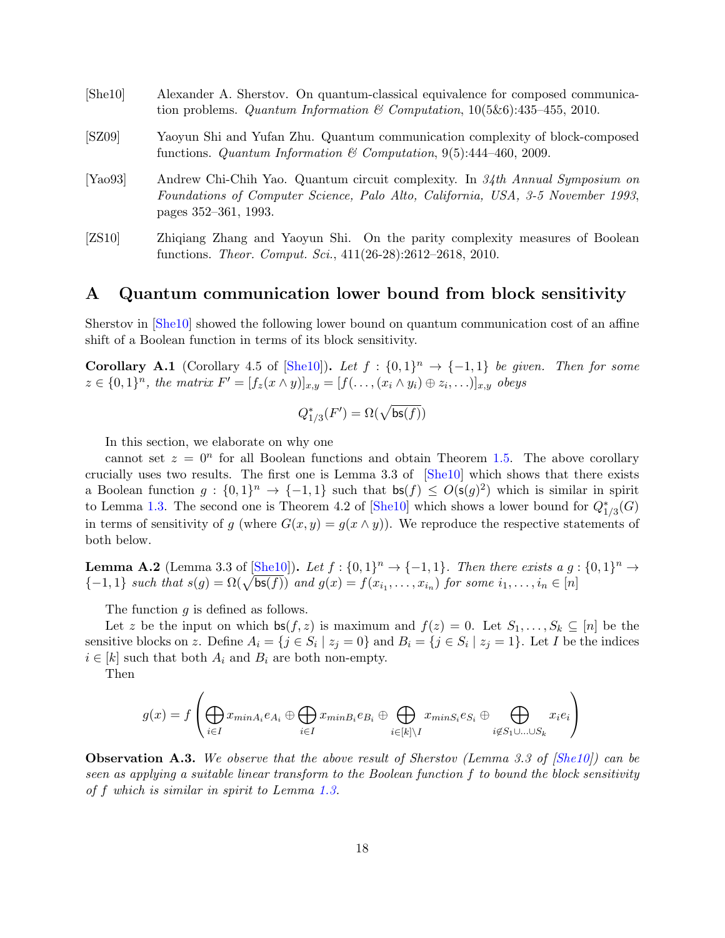| [She10] | Alexander A. Sherstov. On quantum-classical equivalence for composed communica-<br>tion problems. Quantum Information & Computation, $10(5\&6)$ :435-455, 2010.                         |
|---------|-----------------------------------------------------------------------------------------------------------------------------------------------------------------------------------------|
| [SZ09]  | Yaoyun Shi and Yufan Zhu. Quantum communication complexity of block-composed<br>functions. Quantum Information & Computation, 9(5):444-460, 2009.                                       |
| [Ya093] | Andrew Chi-Chih Yao. Quantum circuit complexity. In 34th Annual Symposium on<br>Foundations of Computer Science, Palo Alto, California, USA, 3-5 November 1993,<br>pages 352–361, 1993. |
| [ZS10]  | Zhiqiang Zhang and Yaoyun Shi. On the parity complexity measures of Boolean<br>functions. Theor. Comput. Sci., 411(26-28):2612-2618, 2010.                                              |

#### A Quantum communication lower bound from block sensitivity

Sherstov in [She10] showed the following lower bound on quantum communication cost of an affine shift of a Boolean function in terms of its block sensitivity.

**Corollary A.1** (Corollary 4.5 of [She10]). Let  $f : \{0,1\}^n \rightarrow \{-1,1\}$  be given. Then for some  $z \in \{0,1\}^n$ , the matrix  $F' = [f_z(x \wedge y)]_{x,y} = [f(\ldots, (x_i \wedge y_i) \oplus z_i, \ldots)]_{x,y}$  obeys

$$
Q^*_{1/3}(F') = \Omega(\sqrt{\mathsf{bs}(f)})
$$

In this section, we elaborate on why one

cannot set  $z = 0<sup>n</sup>$  for all Boolean functions and obtain Theorem 1.5. The above corollary crucially uses two results. The first one is Lemma 3.3 of [She10] which shows that there exists a Boolean function  $g: \{0,1\}^n \to \{-1,1\}$  such that  $\mathsf{bs}(f) \le O(\mathsf{s}(g)^2)$  which is similar in spirit to Lemma 1.3. The second one is Theorem 4.2 of [She10] which shows a lower bound for  $Q_{1/3}^*(G)$ in terms of sensitivity of g (where  $G(x, y) = g(x \wedge y)$ ). We reproduce the respective statements of both below.

**Lemma A.2** (Lemma 3.3 of  $[\underline{\text{She10}}]$ ). Let  $f : \{0,1\}^n \to \{-1,1\}$ . Then there exists a  $g : \{0,1\}^n \to \{-1,1\}$ .  ${-1, 1}$  such that  $s(g) = \Omega(\sqrt{\mathsf{bs}(f)})$  and  $g(x) = f(x_{i_1}, \ldots, x_{i_n})$  for some  $i_1, \ldots, i_n \in [n]$ 

The function g is defined as follows.

Let z be the input on which  $\mathsf{bs}(f, z)$  is maximum and  $f(z) = 0$ . Let  $S_1, \ldots, S_k \subseteq [n]$  be the sensitive blocks on z. Define  $A_i = \{j \in S_i \mid z_j = 0\}$  and  $B_i = \{j \in S_i \mid z_j = 1\}$ . Let I be the indices  $i \in [k]$  such that both  $A_i$  and  $B_i$  are both non-empty.

Then

$$
g(x) = f\left(\bigoplus_{i \in I} x_{minA_i} e_{A_i} \oplus \bigoplus_{i \in I} x_{minB_i} e_{B_i} \oplus \bigoplus_{i \in [k] \backslash I} x_{minS_i} e_{S_i} \oplus \bigoplus_{i \notin S_1 \cup \ldots \cup S_k} x_i e_i\right)
$$

**Observation A.3.** We observe that the above result of Sherstov (Lemma 3.3 of  $[She10]$ ) can be seen as applying a suitable linear transform to the Boolean function f to bound the block sensitivity of f which is similar in spirit to Lemma 1.3.